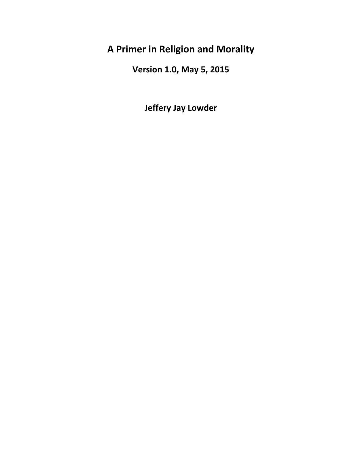# **A Primer in Religion and Morality**

**Version 1.0, May 5, 2015**

**Jeffery Jay Lowder**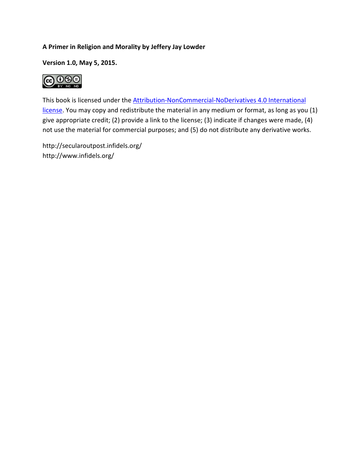#### **A Primer in Religion and Morality by Jeffery Jay Lowder**

**Version 1.0, May 5, 2015.**



This book is licensed under the [Attribution-NonCommercial-NoDerivatives 4.0 International](https://creativecommons.org/licenses/by-nc-nd/4.0/)  [license.](https://creativecommons.org/licenses/by-nc-nd/4.0/) You may copy and redistribute the material in any medium or format, as long as you (1) give appropriate credit; (2) provide a link to the license; (3) indicate if changes were made, (4) not use the material for commercial purposes; and (5) do not distribute any derivative works.

http://secularoutpost.infidels.org/ http://www.infidels.org/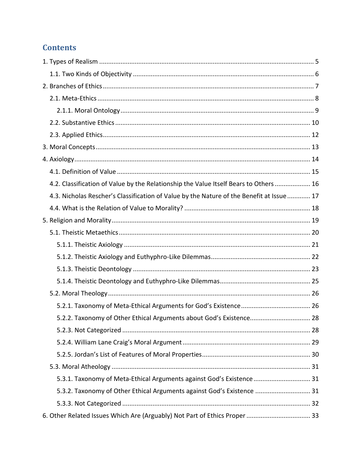## **Contents**

| 4.2. Classification of Value by the Relationship the Value Itself Bears to Others  16     |  |
|-------------------------------------------------------------------------------------------|--|
| 4.3. Nicholas Rescher's Classification of Value by the Nature of the Benefit at Issue  17 |  |
|                                                                                           |  |
|                                                                                           |  |
|                                                                                           |  |
|                                                                                           |  |
|                                                                                           |  |
|                                                                                           |  |
|                                                                                           |  |
|                                                                                           |  |
|                                                                                           |  |
| 5.2.2. Taxonomy of Other Ethical Arguments about God's Existence 28                       |  |
|                                                                                           |  |
|                                                                                           |  |
|                                                                                           |  |
|                                                                                           |  |
| 5.3.1. Taxonomy of Meta-Ethical Arguments against God's Existence 31                      |  |
| 5.3.2. Taxonomy of Other Ethical Arguments against God's Existence  31                    |  |
|                                                                                           |  |
| 6. Other Related Issues Which Are (Arguably) Not Part of Ethics Proper  33                |  |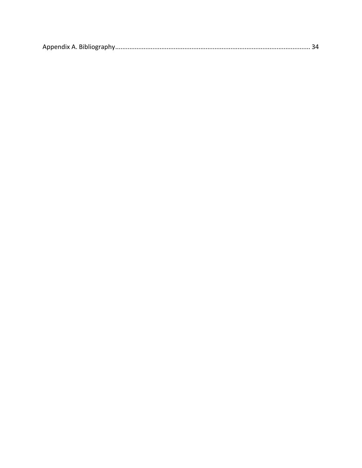|--|--|--|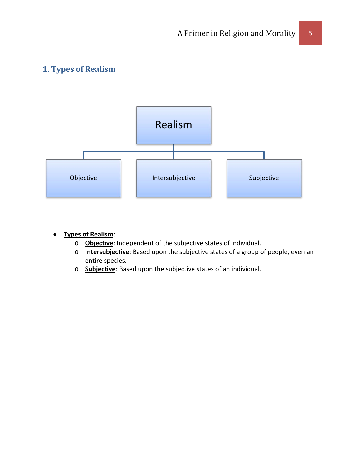## <span id="page-4-0"></span>**1. Types of Realism**



- **Types of Realism**:
	- o **Objective**: Independent of the subjective states of individual.
	- o **Intersubjective**: Based upon the subjective states of a group of people, even an entire species.
	- o **Subjective**: Based upon the subjective states of an individual.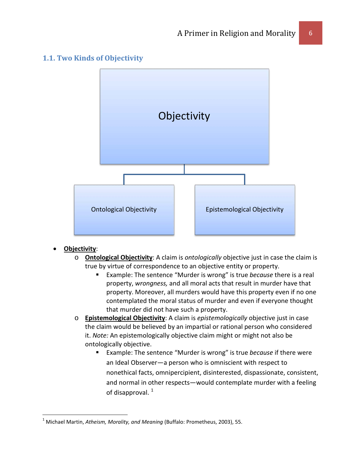### <span id="page-5-0"></span>**1.1. Two Kinds of Objectivity**



#### • **Objectivity**:

- o **Ontological Objectivity**: A claim is *ontologically* objective just in case the claim is true by virtue of correspondence to an objective entity or property.
	- Example: The sentence "Murder is wrong" is true *because* there is a real property, *wrongness,* and all moral acts that result in murder have that property. Moreover, all murders would have this property even if no one contemplated the moral status of murder and even if everyone thought that murder did not have such a property.
- o **Epistemological Objectivity**: A claim is *epistemologically* objective just in case the claim would be believed by an impartial or rational person who considered it. *Note:* An epistemologically objective claim might or might not also be ontologically objective.
	- Example: The sentence "Murder is wrong" is true *because* if there were an Ideal Observer—a person who is omniscient with respect to nonethical facts, omnipercipient, disinterested, dispassionate, consistent, and normal in other respects—would contemplate murder with a feeling of disapproval.  $1$

<span id="page-5-1"></span> <sup>1</sup> Michael Martin, *Atheism, Morality, and Meaning* (Buffalo: Prometheus, 2003), 55.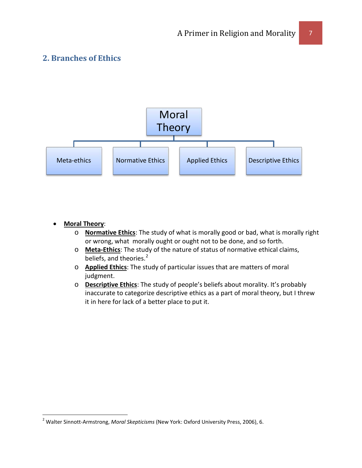## <span id="page-6-0"></span>**2. Branches of Ethics**



#### • **Moral Theory**:

- o **Normative Ethics**: The study of what is morally good or bad, what is morally right or wrong, what morally ought or ought not to be done, and so forth.
- o **Meta-Ethics**: The study of the nature of status of normative ethical claims, beliefs, and theories.<sup>[2](#page-5-1)</sup>
- o **Applied Ethics**: The study of particular issues that are matters of moral judgment.
- o **Descriptive Ethics**: The study of people's beliefs about morality. It's probably inaccurate to categorize descriptive ethics as a part of moral theory, but I threw it in here for lack of a better place to put it.

 <sup>2</sup> Walter Sinnott-Armstrong, *Moral Skepticisms* (New York: Oxford University Press, 2006), 6.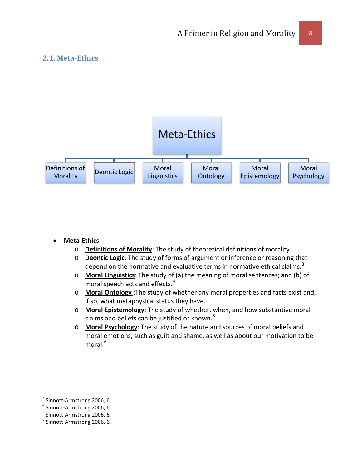## <span id="page-7-0"></span>**2.1. Meta-Ethics**



#### • **Meta-Ethics**:

- o **Definitions of Morality**: The study of theoretical definitions of morality.
- o **Deontic Logic**: The study of forms of argument or inference or reasoning that depend on the normative and evaluative terms in normative ethical claims.<sup>[3](#page-7-1)</sup>
- o **Moral Linguistics**: The study of (a) the meaning of moral sentences; and (b) of moral speech acts and effects.<sup>[4](#page-7-2)</sup>
- o **Moral Ontology** :The study of whether any moral properties and facts exist and, if so, what metaphysical status they have.
- o **Moral Epistemology**: The study of whether, when, and how substantive moral claims and beliefs can be justified or known.<sup>[5](#page-7-3)</sup>
- o **Moral Psychology**: The study of the nature and sources of moral beliefs and moral emotions, such as guilt and shame, as well as about our motivation to be moral.<sup>[6](#page-7-4)</sup>

<span id="page-7-1"></span><sup>&</sup>lt;sup>3</sup> Sinnott-Armstrong 2006, 6.<br>
<sup>4</sup> Sinnott-Armstrong 2006, 6.<br>
<sup>5</sup> Sinnott-Armstrong 2006, 6.<br>
<sup>6</sup> Sinnott-Armstrong 2006, 6.

<span id="page-7-2"></span>

<span id="page-7-3"></span>

<span id="page-7-4"></span>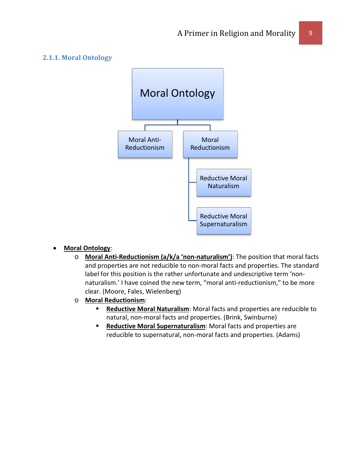#### <span id="page-8-0"></span>**2.1.1. Moral Ontology**



#### • **Moral Ontology**:

- o **Moral Anti-Reductionism (a/k/a 'non-naturalism')**: The position that moral facts and properties are not reducible to non-moral facts and properties. The standard label for this position is the rather unfortunate and undescriptive term 'nonnaturalism.' I have coined the new term, "moral anti-reductionism," to be more clear. (Moore, Fales, Wielenberg)
- o **Moral Reductionism**:
	- **Reductive Moral Naturalism:** Moral facts and properties are reducible to natural, non-moral facts and properties. (Brink, Swinburne)
	- **Reductive Moral Supernaturalism:** Moral facts and properties are reducible to supernatural, non-moral facts and properties. (Adams)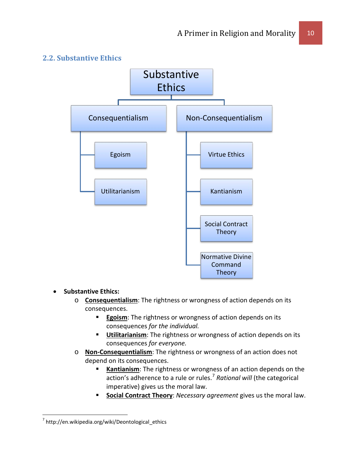

#### <span id="page-9-0"></span>**2.2. Substantive Ethics**

#### • **Substantive Ethics:**

- o **Consequentialism**: The rightness or wrongness of action depends on its consequences.
	- **Egoism**: The rightness or wrongness of action depends on its consequences *for the individual.*
	- **Utilitarianism**: The rightness or wrongness of action depends on its consequences *for everyone.*
- o **Non-Consequentialism**: The rightness or wrongness of an action does not depend on its consequences.
	- **Kantianism**: The rightness or wrongness of an action depends on the action's adherence to a rule or rules.<sup>[7](#page-9-1)</sup> Rational will (the categorical imperative) gives us the moral law.
	- **Social Contract Theory**: *Necessary agreement* gives us the moral law.

<span id="page-9-1"></span> $^7$  http://en.wikipedia.org/wiki/Deontological ethics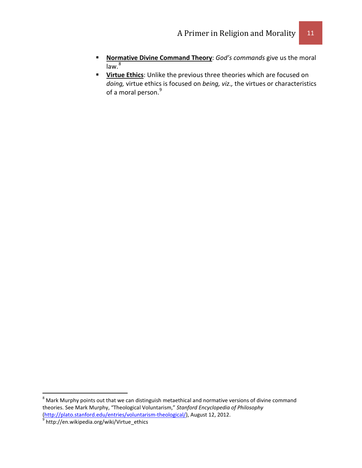- **Normative Divine Command Theory**: *God's commands* give us the moral  $\overline{law.^8}$  $\overline{law.^8}$  $\overline{law.^8}$
- **Virtue Ethics**: Unlike the previous three theories which are focused on *doing,* virtue ethics is focused on *being, viz.,* the virtues or characteristics of a moral person.<sup>[9](#page-10-1)</sup>

<span id="page-10-0"></span><sup>&</sup>lt;sup>8</sup> Mark Murphy points out that we can distinguish metaethical and normative versions of divine command theories. See Mark Murphy, "Theological Voluntarism," *Stanford Encyclopedia of Philosophy*  [\(http://plato.stanford.edu/entries/voluntarism-theological/\)](http://plato.stanford.edu/entries/voluntarism-theological/), August 12, 2012.<br><sup>9</sup> http://en.wikipedia.org/wiki/Virtue\_ethics

<span id="page-10-1"></span>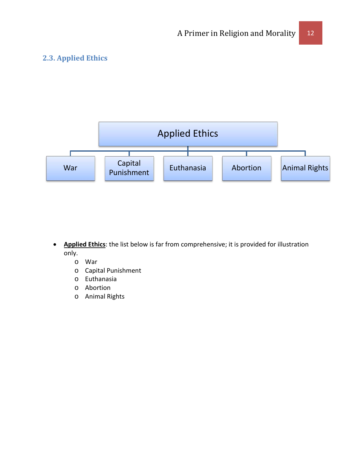## <span id="page-11-0"></span>**2.3. Applied Ethics**



- **Applied Ethics**: the list below is far from comprehensive; it is provided for illustration only.
	- o War
	- o Capital Punishment
	- o Euthanasia
	- o Abortion
	- o Animal Rights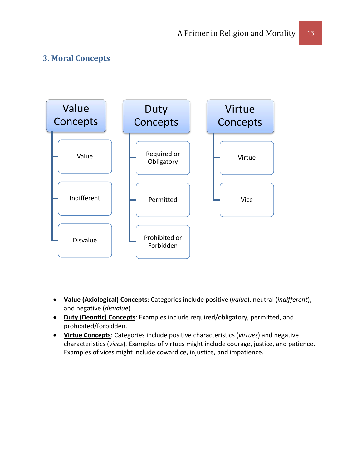## <span id="page-12-0"></span>**3. Moral Concepts**



- **Value (Axiological) Concepts**: Categories include positive (*value*), neutral (*indifferent*), and negative (*disvalue*).
- **Duty (Deontic) Concepts**: Examples include required/obligatory, permitted, and prohibited/forbidden.
- **Virtue Concepts**: Categories include positive characteristics (*virtues*) and negative characteristics (*vices*). Examples of virtues might include courage, justice, and patience. Examples of vices might include cowardice, injustice, and impatience.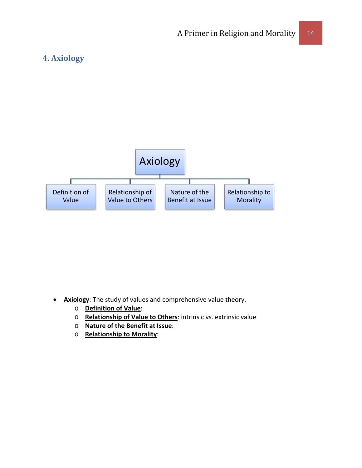## <span id="page-13-0"></span>**4. Axiology**



- **Axiology**: The study of values and comprehensive value theory.
	- o **Definition of Value**:
	- o **Relationship of Value to Others**: intrinsic vs. extrinsic value
	- o **Nature of the Benefit at Issue**:
	- o **Relationship to Morality**: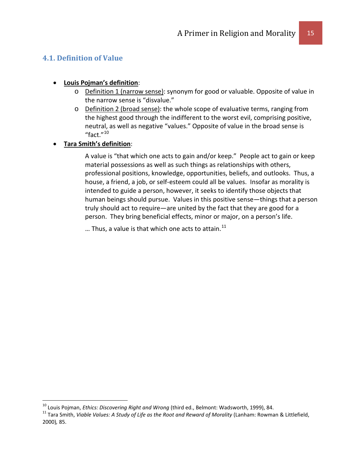## <span id="page-14-0"></span>**4.1. Definition of Value**

#### • **Louis Pojman's definition**:

- o Definition 1 (narrow sense): synonym for good or valuable. Opposite of value in the narrow sense is "disvalue."
- o Definition 2 (broad sense): the whole scope of evaluative terms, ranging from the highest good through the indifferent to the worst evil, comprising positive, neutral, as well as negative "values." Opposite of value in the broad sense is "fact." $10$

#### • **Tara Smith's definition**:

A value is "that which one acts to gain and/or keep." People act to gain or keep material possessions as well as such things as relationships with others, professional positions, knowledge, opportunities, beliefs, and outlooks. Thus, a house, a friend, a job, or self-esteem could all be values. Insofar as morality is intended to guide a person, however, it seeks to identify those objects that human beings should pursue. Values in this positive sense—things that a person truly should act to require—are united by the fact that they are good for a person. They bring beneficial effects, minor or major, on a person's life.

... Thus, a value is that which one acts to attain.<sup>[11](#page-14-2)</sup>

<span id="page-14-2"></span><span id="page-14-1"></span><sup>&</sup>lt;sup>10</sup> Louis Pojman, *Ethics: Discovering Right and Wrong* (third ed., Belmont: Wadsworth, 1999), 84.<br><sup>11</sup> Tara Smith, *Viable Values: A Study of Life as the Root and Reward of Morality (Lanham: Rowman & Littlefield,* 2000)*,* 85.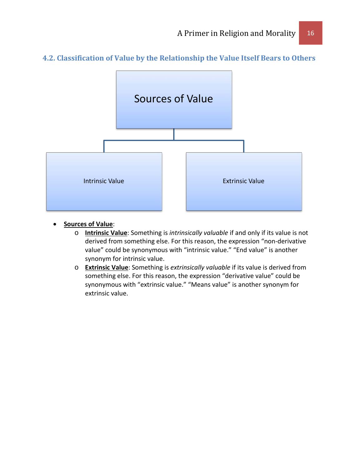<span id="page-15-0"></span>



- **Sources of Value**:
	- o **Intrinsic Value**: Something is *intrinsically valuable* if and only if its value is not derived from something else. For this reason, the expression "non-derivative value" could be synonymous with "intrinsic value." "End value" is another synonym for intrinsic value.
	- o **Extrinsic Value**: Something is *extrinsically valuable* if its value is derived from something else. For this reason, the expression "derivative value" could be synonymous with "extrinsic value." "Means value" is another synonym for extrinsic value.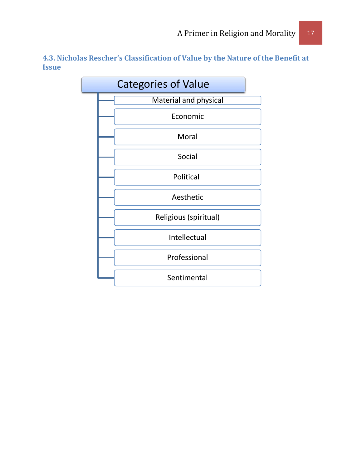<span id="page-16-0"></span>**4.3. Nicholas Rescher's Classification of Value by the Nature of the Benefit at Issue**

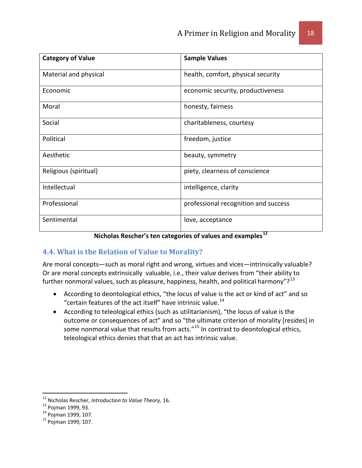| <b>Category of Value</b> | <b>Sample Values</b>                 |
|--------------------------|--------------------------------------|
| Material and physical    | health, comfort, physical security   |
| Economic                 | economic security, productiveness    |
| Moral                    | honesty, fairness                    |
| Social                   | charitableness, courtesy             |
| Political                | freedom, justice                     |
| Aesthetic                | beauty, symmetry                     |
| Religious (spiritual)    | piety, clearness of conscience       |
| Intellectual             | intelligence, clarity                |
| Professional             | professional recognition and success |
| Sentimental              | love, acceptance                     |

## **Nicholas Rescher's ten categories of values and examples[12](#page-17-1)**

## <span id="page-17-0"></span>**4.4. What is the Relation of Value to Morality?**

Are moral concepts—such as moral right and wrong, virtues and vices—intrinsically valuable? Or are moral concepts extrinsically valuable, i.e., their value derives from "their ability to further nonmoral values, such as pleasure, happiness, health, and political harmony"? $^{13}$  $^{13}$  $^{13}$ 

- According to deontological ethics, "the locus of value is the act or kind of act" and so "certain features of the act itself" have intrinsic value.[14](#page-17-3)
- According to teleological ethics (such as utilitarianism), "the locus of value is the outcome or consequences of act" and so "the ultimate criterion of morality [resides] in some nonmoral value that results from acts."[15](#page-17-4) In contrast to deontological ethics, teleological ethics denies that that an act has intrinsic value.

<span id="page-17-2"></span><span id="page-17-1"></span><sup>&</sup>lt;sup>12</sup> Nicholas Rescher, *Introduction to Value Theory*, 16.<br><sup>13</sup> Pojman 1999, 93.<br><sup>14</sup> Pojman 1999, 107.<br><sup>15</sup> Poiman 1999, 107.

<span id="page-17-3"></span>

<span id="page-17-4"></span>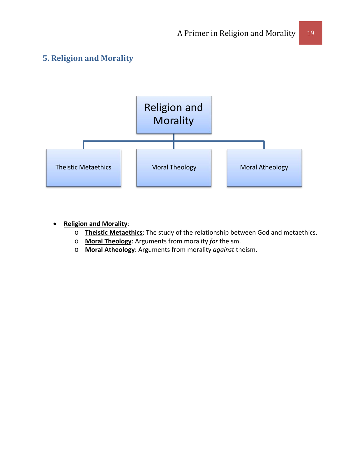## <span id="page-18-0"></span>**5. Religion and Morality**



#### • **Religion and Morality**:

- o **Theistic Metaethics**: The study of the relationship between God and metaethics.
- o **Moral Theology**: Arguments from morality *for* theism.
- o **Moral Atheology**: Arguments from morality *against* theism.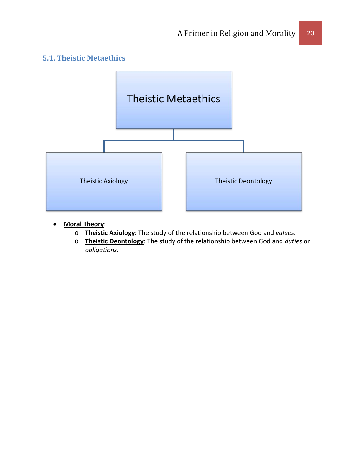## <span id="page-19-0"></span>**5.1. Theistic Metaethics**



- **Moral Theory**:
	- o **Theistic Axiology**: The study of the relationship between God and *values.*
	- o **Theistic Deontology**: The study of the relationship between God and *duties* or *obligations.*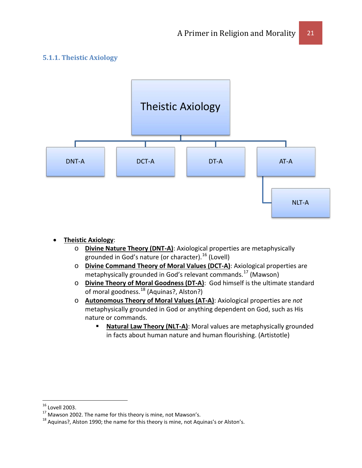#### <span id="page-20-0"></span>**5.1.1. Theistic Axiology**



- **Theistic Axiology**:
	- o **Divine Nature Theory (DNT-A)**: Axiological properties are metaphysically grounded in God's nature (or character). $^{16}$  $^{16}$  $^{16}$  (Lovell)
	- o **Divine Command Theory of Moral Values (DCT-A)**: Axiological properties are metaphysically grounded in God's relevant commands.<sup>[17](#page-20-2)</sup> (Mawson)
	- o **Divine Theory of Moral Goodness (DT-A)**: God himself is the ultimate standard of moral goodness.<sup>[18](#page-20-3)</sup> (Aquinas?, Alston?)
	- o **Autonomous Theory of Moral Values (AT-A)**: Axiological properties are *not* metaphysically grounded in God or anything dependent on God, such as His nature or commands.
		- **Natural Law Theory (NLT-A)**: Moral values are metaphysically grounded in facts about human nature and human flourishing. (Artistotle)

<span id="page-20-3"></span>

<span id="page-20-2"></span><span id="page-20-1"></span><sup>&</sup>lt;sup>16</sup> Lovell 2003.<br><sup>17</sup> Mawson 2002. The name for this theory is mine, not Mawson's.<br><sup>18</sup> Aquinas?, Alston 1990; the name for this theory is mine, not Aquinas's or Alston's.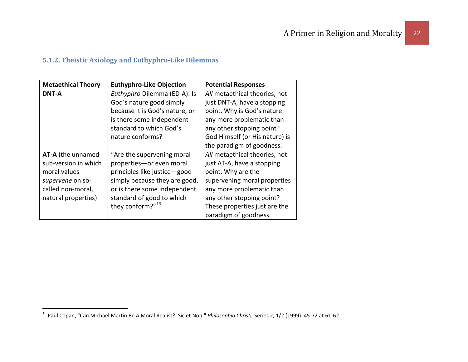## <span id="page-21-1"></span>**5.1.2. Theistic Axiology and Euthyphro-Like Dilemmas**

<span id="page-21-0"></span>

| <b>Metaethical Theory</b> | <b>Euthyphro-Like Objection</b> | <b>Potential Responses</b>     |
|---------------------------|---------------------------------|--------------------------------|
| <b>DNT-A</b>              | Euthyphro Dilemma (ED-A): Is    | All metaethical theories, not  |
|                           | God's nature good simply        | just DNT-A, have a stopping    |
|                           | because it is God's nature, or  | point. Why is God's nature     |
|                           | is there some independent       | any more problematic than      |
|                           | standard to which God's         | any other stopping point?      |
|                           | nature conforms?                | God Himself (or His nature) is |
|                           |                                 | the paradigm of goodness.      |
| AT-A (the unnamed         | "Are the supervening moral      | All metaethical theories, not  |
| sub-version in which      | properties-or even moral        | just AT-A, have a stopping     |
| moral values              | principles like justice-good    | point. Why are the             |
| supervene on so-          | simply because they are good,   | supervening moral properties   |
| called non-moral,         | or is there some independent    | any more problematic than      |
| natural properties)       | standard of good to which       | any other stopping point?      |
|                           | they conform?" <sup>19</sup>    | These properties just are the  |
|                           |                                 | paradigm of goodness.          |

 <sup>19</sup> Paul Copan, "Can Michael Martin Be A Moral Realist?: Sic et Non," *Philosophia Christi,* Series 2, 1/2 (1999): 45-72 at 61-62.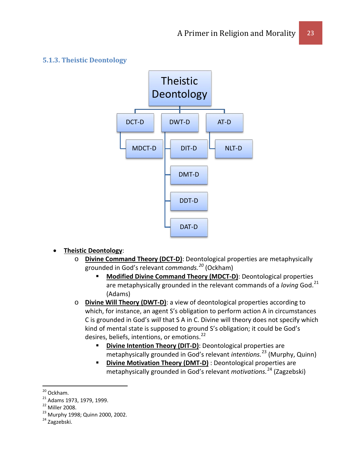#### <span id="page-22-0"></span>**5.1.3. Theistic Deontology**



#### • **Theistic Deontology**:

- o **Divine Command Theory (DCT-D)**: Deontological properties are metaphysically grounded in God's relevant *commands.[20](#page-22-1)* (Ockham)
	- **Modified Divine Command Theory (MDCT-D)**: Deontological properties are metaphysically grounded in the relevant commands of a *loving* God.[21](#page-22-2) (Adams)
- o **Divine Will Theory (DWT-D)**: a view of deontological properties according to which, for instance, an agent S's obligation to perform action A in circumstances C is grounded in God's *will* that S A in C. Divine will theory does not specify which kind of mental state is supposed to ground S's obligation; it could be God's desires, beliefs, intentions, or emotions.<sup>[22](#page-22-3)</sup>
	- **Divine Intention Theory (DIT-D)**: Deontological properties are metaphysically grounded in God's relevant *intentions.*[23](#page-22-4) (Murphy, Quinn)
	- **Divine Motivation Theory (DMT-D)** : Deontological properties are metaphysically grounded in God's relevant *motivations.*[24](#page-22-5) (Zagzebski)

<span id="page-22-3"></span>

<span id="page-22-2"></span><span id="page-22-1"></span><sup>&</sup>lt;sup>20</sup> Ockham.<br><sup>21</sup> Adams 1973, 1979, 1999.<br><sup>22</sup> Miller 2008.<br><sup>23</sup> Murphy 1998; Quinn 2000, 2002.<br><sup>24</sup> Zagzebski.

<span id="page-22-5"></span><span id="page-22-4"></span>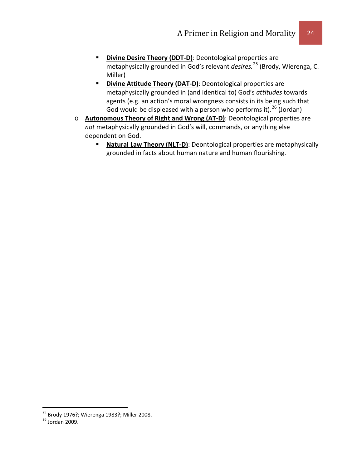- **Divine Desire Theory (DDT-D)**: Deontological properties are metaphysically grounded in God's relevant *desires.*[25](#page-23-0) (Brody, Wierenga, C. Miller)
- **Divine Attitude Theory (DAT-D)**: Deontological properties are metaphysically grounded in (and identical to) God's *attitudes* towards agents (e.g. an action's moral wrongness consists in its being such that God would be displeased with a person who performs it).<sup>[26](#page-23-1)</sup> (Jordan)
- o **Autonomous Theory of Right and Wrong (AT-D)**: Deontological properties are *not* metaphysically grounded in God's will, commands, or anything else dependent on God.
	- **Natural Law Theory (NLT-D)**: Deontological properties are metaphysically grounded in facts about human nature and human flourishing.

<span id="page-23-0"></span><sup>&</sup>lt;sup>25</sup> Brody 1976?; Wierenga 1983?; Miller 2008.<br><sup>26</sup> Jordan 2009

<span id="page-23-1"></span>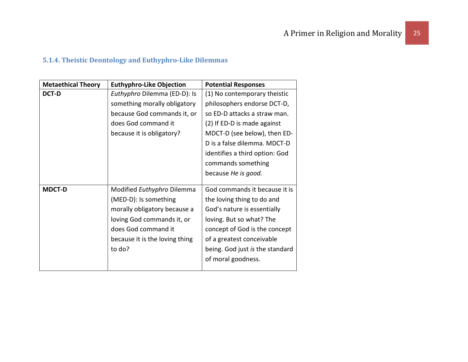## **5.1.4. Theistic Deontology and Euthyphro-Like Dilemmas**

<span id="page-24-0"></span>

| <b>Metaethical Theory</b> | <b>Euthyphro-Like Objection</b>                                                                                                                                                      | <b>Potential Responses</b>                                                                                                                                                                                                                    |
|---------------------------|--------------------------------------------------------------------------------------------------------------------------------------------------------------------------------------|-----------------------------------------------------------------------------------------------------------------------------------------------------------------------------------------------------------------------------------------------|
| <b>DCT-D</b>              | Euthyphro Dilemma (ED-D): Is<br>something morally obligatory                                                                                                                         | (1) No contemporary theistic<br>philosophers endorse DCT-D,                                                                                                                                                                                   |
|                           | because God commands it, or<br>does God command it<br>because it is obligatory?                                                                                                      | so ED-D attacks a straw man.<br>(2) If ED-D is made against<br>MDCT-D (see below), then ED-<br>D is a false dilemma. MDCT-D<br>identifies a third option: God<br>commands something<br>because He is good.                                    |
| <b>MDCT-D</b>             | Modified Euthyphro Dilemma<br>(MED-D): Is something<br>morally obligatory because a<br>loving God commands it, or<br>does God command it<br>because it is the loving thing<br>to do? | God commands it because it is<br>the loving thing to do and<br>God's nature is essentially<br>loving. But so what? The<br>concept of God is the concept<br>of a greatest conceivable<br>being. God just is the standard<br>of moral goodness. |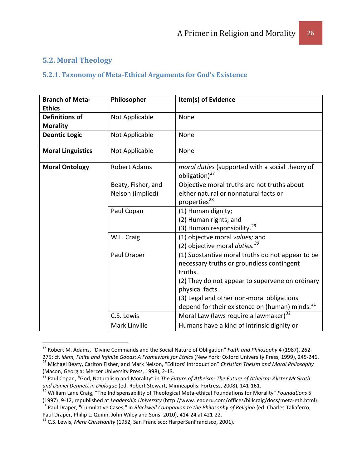## <span id="page-25-0"></span>**5.2. Moral Theology**

## <span id="page-25-1"></span>**5.2.1. Taxonomy of Meta-Ethical Arguments for God's Existence**

| <b>Branch of Meta-</b><br><b>Ethics</b>  | Philosopher         | Item(s) of Evidence                                                          |
|------------------------------------------|---------------------|------------------------------------------------------------------------------|
| <b>Definitions of</b><br><b>Morality</b> | Not Applicable      | None                                                                         |
| <b>Deontic Logic</b>                     | Not Applicable      | None                                                                         |
| <b>Moral Linguistics</b>                 | Not Applicable      | None                                                                         |
| <b>Moral Ontology</b>                    | <b>Robert Adams</b> | moral duties (supported with a social theory of<br>obligation) <sup>27</sup> |
|                                          | Beaty, Fisher, and  | Objective moral truths are not truths about                                  |
|                                          | Nelson (implied)    | either natural or nonnatural facts or<br>properties <sup>28</sup>            |
|                                          | Paul Copan          | (1) Human dignity;                                                           |
|                                          |                     | (2) Human rights; and                                                        |
|                                          |                     | (3) Human responsibility. <sup>29</sup>                                      |
|                                          | W.L. Craig          | (1) objectve moral values; and                                               |
|                                          |                     | (2) objective moral <i>duties.</i> <sup>30</sup>                             |
|                                          | Paul Draper         | (1) Substantive moral truths do not appear to be                             |
|                                          |                     | necessary truths or groundless contingent                                    |
|                                          |                     | truths.                                                                      |
|                                          |                     | (2) They do not appear to supervene on ordinary                              |
|                                          |                     | physical facts.                                                              |
|                                          |                     | (3) Legal and other non-moral obligations                                    |
|                                          |                     | depend for their existence on (human) minds. <sup>31</sup>                   |
|                                          | C.S. Lewis          | Moral Law (laws require a lawmaker) <sup>32</sup>                            |
|                                          | Mark Linville       | Humans have a kind of intrinsic dignity or                                   |

<span id="page-25-2"></span> <sup>27</sup> Robert M. Adams, "Divine Commands and the Social Nature of Obligation" *Faith and Philosophy* 4 (1987), 262-

<span id="page-25-3"></span><sup>275;</sup> cf. idem, Finite and Infinite Goods: A Framework for Ethics (New York: Oxford University Press, 1999), 245-246.<br><sup>28</sup> Michael Beaty, Carlton Fisher, and Mark Nelson, "Editors' Introduction" Christian Theism and Moral P (Macon, Georgia: Mercer University Press, 1998), 2-13.<br><sup>29</sup> Paul Copan, "God, Naturalism and Morality" in *The Future of Atheism: The Future of Atheism: Alister McGrath* 

<span id="page-25-4"></span>and Daniel Dennett in Dialogue (ed. Robert Stewart, Minneapolis: Fortress, 2008), 141-161.<br><sup>30</sup> William Lane Craig, "The Indispensability of Theological Meta-ethical Foundations for Morality" *Foundations* 5

<span id="page-25-6"></span><span id="page-25-5"></span><sup>(1997): 9-12,</sup> republished at Leadership University (http://www.leaderu.com/offices/billcraig/docs/meta-eth.html).<br><sup>31</sup> Paul Draper, "Cumulative Cases," in *Blackwell Companion to the Philosophy of Religion* (ed. Charles Ta

<span id="page-25-7"></span><sup>&</sup>lt;sup>32</sup> C.S. Lewis, *Mere Christianity* (1952, San Francisco: HarperSanFrancisco, 2001).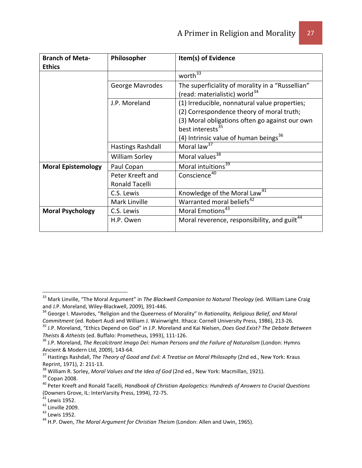| <b>Branch of Meta-</b>    | Philosopher              | Item(s) of Evidence                                                                                                                                                                                                      |
|---------------------------|--------------------------|--------------------------------------------------------------------------------------------------------------------------------------------------------------------------------------------------------------------------|
| <b>Ethics</b>             |                          |                                                                                                                                                                                                                          |
|                           |                          | worth $\overline{33}$                                                                                                                                                                                                    |
|                           | George Mavrodes          | The superficiality of morality in a "Russellian"<br>(read: materialistic) world <sup>34</sup>                                                                                                                            |
|                           | J.P. Moreland            | (1) Irreducible, nonnatural value properties;<br>(2) Correspondence theory of moral truth;<br>(3) Moral obligations often go against our own<br>best interests <sup>35</sup><br>(4) Intrinsic value of human beings $36$ |
|                           | <b>Hastings Rashdall</b> | Moral law <sup>37</sup>                                                                                                                                                                                                  |
|                           | <b>William Sorley</b>    | Moral values <sup>38</sup>                                                                                                                                                                                               |
| <b>Moral Epistemology</b> | Paul Copan               | Moral intuitions <sup>39</sup>                                                                                                                                                                                           |
|                           | Peter Kreeft and         | Conscience <sup>40</sup>                                                                                                                                                                                                 |
|                           | Ronald Tacelli           |                                                                                                                                                                                                                          |
|                           | C.S. Lewis               | Knowledge of the Moral Law <sup>41</sup>                                                                                                                                                                                 |
|                           | Mark Linville            | Warranted moral beliefs <sup>42</sup>                                                                                                                                                                                    |
| <b>Moral Psychology</b>   | C.S. Lewis               | Moral Emotions <sup>43</sup>                                                                                                                                                                                             |
|                           | H.P. Owen                | Moral reverence, responsibility, and guilt <sup>44</sup>                                                                                                                                                                 |

<span id="page-26-0"></span><sup>&</sup>lt;sup>33</sup> Mark Linville, "The Moral Argument" in *The Blackwell Companion to Natural Theology* (ed. William Lane Craig<br>and J.P. Moreland, Wiley-Blackwell, 2009), 391-446.

<span id="page-26-1"></span><sup>&</sup>lt;sup>34</sup> George I. Mavrodes, "Religion and the Queerness of Morality" In *Rationality, Religious Belief, and Moral*<br>Commitment (ed. Robert Audi and William J. Wainwright. Ithaca: Cornell University Press, 1986), 213-26.

<span id="page-26-2"></span><sup>&</sup>lt;sup>35</sup> J.P. Moreland, "Ethics Depend on God" in J.P. Moreland and Kai Nielsen, *Does God Exist? The Debate Between*<br>Theists & Atheists (ed. Buffalo: Prometheus, 1993), 111-126.

<span id="page-26-3"></span><sup>&</sup>lt;sup>36</sup> J.P. Moreland, *The Recalcitrant Imago Dei: Human Persons and the Failure of Naturalism* (London: Hymns Ancient & Modern Ltd, 2009), 143-64.

<span id="page-26-4"></span><sup>&</sup>lt;sup>37</sup> Hastings Rashdall, *The Theory of Good and Evil: A Treatise on Moral Philosophy* (2nd ed., New York: Kraus

<span id="page-26-7"></span><span id="page-26-6"></span>

<span id="page-26-5"></span>Reprint, 1971), 2: 211-13.<br><sup>38</sup> William R. Sorley, *Moral Values and the Idea of God* (2nd ed., New York: Macmillan, 1921).<br><sup>39</sup> Copan 2008.<br><sup>40</sup> Peter Kreeft and Ronald Tacelli, *Handbook of Christian Apologetics: Hundred* 

<span id="page-26-9"></span>

<span id="page-26-11"></span><span id="page-26-10"></span>

<span id="page-26-8"></span><sup>&</sup>lt;sup>41</sup> Lewis 1952.<br><sup>42</sup> Linville 2009.<br><sup>43</sup> Lewis 1952. 44 H.P. Owen, *The Moral Argument for Christian Theism* (London: Allen and Uwin, 1965).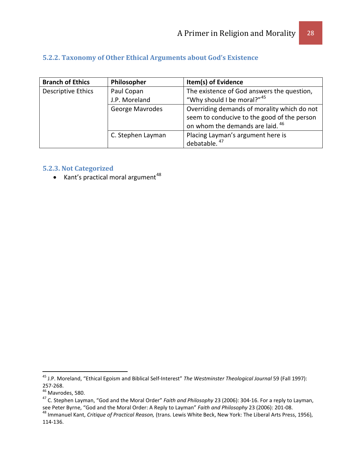#### <span id="page-27-0"></span>**5.2.2. Taxonomy of Other Ethical Arguments about God's Existence**

| <b>Branch of Ethics</b> | Philosopher       | Item(s) of Evidence                         |
|-------------------------|-------------------|---------------------------------------------|
| Descriptive Ethics      | Paul Copan        | The existence of God answers the question,  |
|                         | J.P. Moreland     | "Why should I be moral?"45                  |
|                         | George Mavrodes   | Overriding demands of morality which do not |
|                         |                   | seem to conducive to the good of the person |
|                         |                   | on whom the demands are laid. <sup>46</sup> |
|                         | C. Stephen Layman | Placing Layman's argument here is           |
|                         |                   | debatable. <sup>47</sup>                    |

#### <span id="page-27-1"></span>**5.2.3. Not Categorized**

• Kant's practical moral argument $48$ 

<span id="page-27-2"></span><sup>&</sup>lt;sup>45</sup> J.P. Moreland, "Ethical Egoism and Biblical Self-Interest" *The Westminster Theological Journal* 59 (Fall 1997):<br>257-268.<br><sup>46</sup> Mavrodes, 580.

<span id="page-27-4"></span><span id="page-27-3"></span><sup>&</sup>lt;sup>47</sup> C. Stephen Layman, "God and the Moral Order" *Faith and Philosophy* 23 (2006): 304-16. For a reply to Layman, see Peter Byrne, "God and the Moral Order: A Reply to Layman" Faith and Philosophy 23 (2006): 201-08.<br><sup>48</sup> Immanuel Kant, Critique of Practical Reason, (trans. Lewis White Beck, New York: The Liberal Arts Press, 1956),

<span id="page-27-5"></span><sup>114-136.</sup>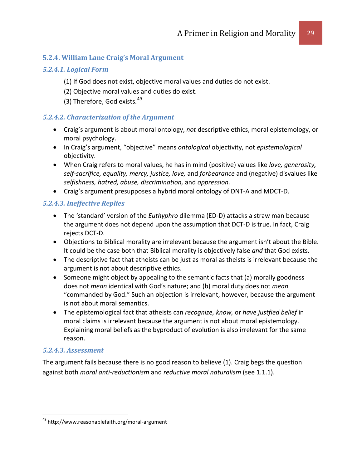#### <span id="page-28-0"></span>**5.2.4. William Lane Craig's Moral Argument**

#### *5.2.4.1. Logical Form*

- (1) If God does not exist, objective moral values and duties do not exist.
- (2) Objective moral values and duties do exist.
- (3) Therefore, God exists. $49$

#### *5.2.4.2. Characterization of the Argument*

- Craig's argument is about moral ontology, *not* descriptive ethics, moral epistemology, or moral psychology.
- In Craig's argument, "objective" means *ontological* objectivity, not *epistemological* objectivity.
- When Craig refers to moral values, he has in mind (positive) values like *love, generosity, self-sacrifice, equality, mercy, justice, love,* and *forbearance* and (negative) disvalues like *selfishness, hatred, abuse, discrimination,* and *oppression.*
- Craig's argument presupposes a hybrid moral ontology of DNT-A and MDCT-D.

#### *5.2.4.3. Ineffective Replies*

- The 'standard' version of the *Euthyphro* dilemma (ED-D) attacks a straw man because the argument does not depend upon the assumption that DCT-D is true. In fact, Craig rejects DCT-D.
- Objections to Biblical morality are irrelevant because the argument isn't about the Bible. It could be the case both that Biblical morality is objectively false *and* that God exists.
- The descriptive fact that atheists can be just as moral as theists is irrelevant because the argument is not about descriptive ethics.
- Someone might object by appealing to the semantic facts that (a) morally goodness does not *mean* identical with God's nature; and (b) moral duty does not *mean*  "commanded by God." Such an objection is irrelevant, however, because the argument is not about moral semantics.
- The epistemological fact that atheists can *recognize, know,* or *have justfied belief* in moral claims is irrelevant because the argument is not about moral epistemology. Explaining moral beliefs as the byproduct of evolution is also irrelevant for the same reason.

#### *5.2.4.3. Assessment*

The argument fails because there is no good reason to believe (1). Craig begs the question against both *moral anti-reductionism* and *reductive moral naturalism* (see 1.1.1).

<span id="page-28-1"></span><sup>&</sup>lt;sup>49</sup> http://www.reasonablefaith.org/moral-argument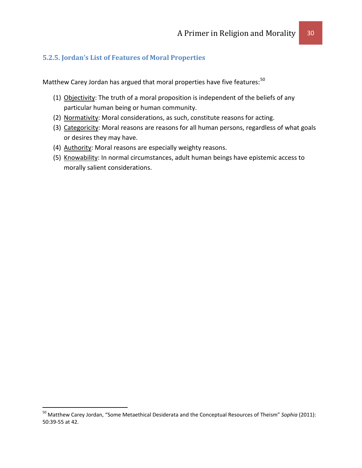#### <span id="page-29-0"></span>**5.2.5. Jordan's List of Features of Moral Properties**

Matthew Carey Jordan has argued that moral properties have five features:<sup>[50](#page-29-1)</sup>

- (1) Objectivity: The truth of a moral proposition is independent of the beliefs of any particular human being or human community.
- (2) Normativity: Moral considerations, as such, constitute reasons for acting.
- (3) Categoricity: Moral reasons are reasons for all human persons, regardless of what goals or desires they may have.
- (4) Authority: Moral reasons are especially weighty reasons.
- (5) Knowability: In normal circumstances, adult human beings have epistemic access to morally salient considerations.

<span id="page-29-1"></span> <sup>50</sup> Matthew Carey Jordan, "Some Metaethical Desiderata and the Conceptual Resources of Theism" *Sophia* (2011): 50:39-55 at 42.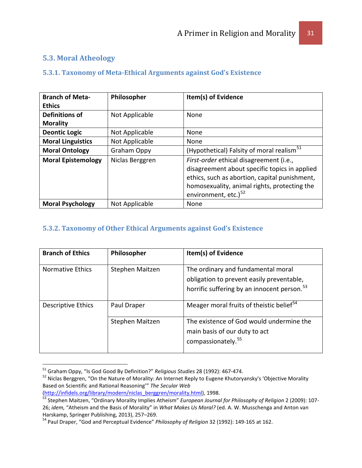## <span id="page-30-0"></span>**5.3. Moral Atheology**

#### <span id="page-30-1"></span>**5.3.1. Taxonomy of Meta-Ethical Arguments against God's Existence**

| <b>Branch of Meta-</b>    | Philosopher     | Item(s) of Evidence                                                                                                                                                                                                           |
|---------------------------|-----------------|-------------------------------------------------------------------------------------------------------------------------------------------------------------------------------------------------------------------------------|
| <b>Ethics</b>             |                 |                                                                                                                                                                                                                               |
| Definitions of            | Not Applicable  | <b>None</b>                                                                                                                                                                                                                   |
| <b>Morality</b>           |                 |                                                                                                                                                                                                                               |
| <b>Deontic Logic</b>      | Not Applicable  | None                                                                                                                                                                                                                          |
| <b>Moral Linguistics</b>  | Not Applicable  | None                                                                                                                                                                                                                          |
| <b>Moral Ontology</b>     | Graham Oppy     | (Hypothetical) Falsity of moral realism <sup>51</sup>                                                                                                                                                                         |
| <b>Moral Epistemology</b> | Niclas Berggren | First-order ethical disagreement (i.e.,<br>disagreement about specific topics in applied<br>ethics, such as abortion, capital punishment,<br>homosexuality, animal rights, protecting the<br>environment, etc.) <sup>52</sup> |
| <b>Moral Psychology</b>   | Not Applicable  | None                                                                                                                                                                                                                          |

## <span id="page-30-2"></span>**5.3.2. Taxonomy of Other Ethical Arguments against God's Existence**

| <b>Branch of Ethics</b> | Philosopher     | Item(s) of Evidence                                                                                                                        |
|-------------------------|-----------------|--------------------------------------------------------------------------------------------------------------------------------------------|
| Normative Ethics        | Stephen Maitzen | The ordinary and fundamental moral<br>obligation to prevent easily preventable,<br>horrific suffering by an innocent person. <sup>53</sup> |
| Descriptive Ethics      | Paul Draper     | Meager moral fruits of theistic belief <sup>54</sup>                                                                                       |
|                         | Stephen Maitzen | The existence of God would undermine the<br>main basis of our duty to act<br>compassionately. <sup>55</sup>                                |

<span id="page-30-4"></span><span id="page-30-3"></span><sup>&</sup>lt;sup>51</sup> Graham Oppy, "Is God Good By Definition?" *Religious Studies* 28 (1992): 467-474.<br><sup>52</sup> Niclas Berggren, "On the Nature of Morality: An Internet Reply to Eugene Khutoryansky's 'Objective Morality Based on Scientific and Rational Reasoning'" *The Secular Web* 

<span id="page-30-7"></span><span id="page-30-5"></span>[<sup>\(</sup>http://infidels.org/library/modern/niclas\\_berggren/morality.html\)](http://infidels.org/library/modern/niclas_berggren/morality.html), 1998. <sup>53</sup> Stephen Maitzen, "Ordinary Morality Implies Atheism" *European Journal for Philosophy of Religion* 2 (2009): 107- 26; *idem,* "Atheism and the Basis of Morality" in *What Makes Us Moral?* (ed. A. W. Musschenga and Anton van Harskamp, Springer Publishing, 2013), 257–269.<br><sup>54</sup> Paul Draper, "God and Perceptual Evidence" *Philosophy of Religion* 32 (1992): 149-165 at 162.

<span id="page-30-6"></span>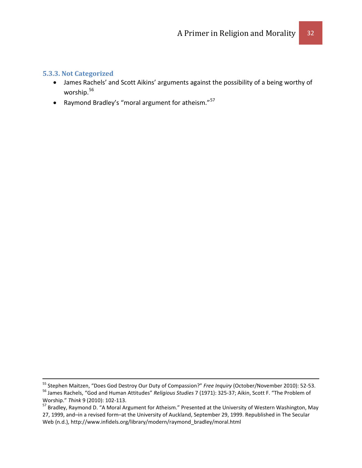#### <span id="page-31-0"></span>**5.3.3. Not Categorized**

- James Rachels' and Scott Aikins' arguments against the possibility of a being worthy of worship.[56](#page-31-1)
- Raymond Bradley's "moral argument for atheism."[57](#page-31-2)

<span id="page-31-1"></span><sup>&</sup>lt;sup>55</sup> Stephen Maitzen, "Does God Destroy Our Duty of Compassion?" Free Inquiry (October/November 2010): 52-53.<br><sup>56</sup> James Rachels, "God and Human Attitudes" *Religious Studies 7* (1971): 325-37; Aikin, Scott F. "The Problem

<span id="page-31-2"></span><sup>&</sup>lt;sup>57</sup> Bradley, Raymond D. "A Moral Argument for Atheism." Presented at the University of Western Washington, May 27, 1999, and–in a revised form–at the University of Auckland, September 29, 1999. Republished in The Secular Web (n.d.), http://www.infidels.org/library/modern/raymond\_bradley/moral.html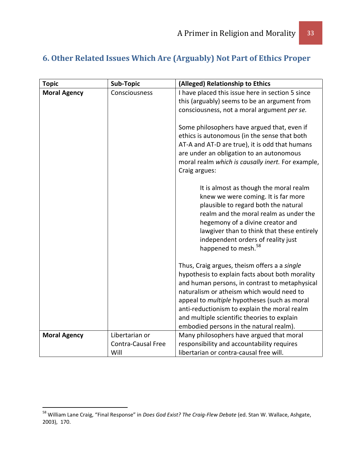## <span id="page-32-0"></span>**6. Other Related Issues Which Are (Arguably) Not Part of Ethics Proper**

| <b>Topic</b>        | Sub-Topic                 | (Alleged) Relationship to Ethics                                                                                                                                                                                                                                                                                           |
|---------------------|---------------------------|----------------------------------------------------------------------------------------------------------------------------------------------------------------------------------------------------------------------------------------------------------------------------------------------------------------------------|
| <b>Moral Agency</b> | Consciousness             | I have placed this issue here in section 5 since                                                                                                                                                                                                                                                                           |
|                     |                           | this (arguably) seems to be an argument from                                                                                                                                                                                                                                                                               |
|                     |                           | consciousness, not a moral argument per se.                                                                                                                                                                                                                                                                                |
|                     |                           | Some philosophers have argued that, even if<br>ethics is autonomous (in the sense that both<br>AT-A and AT-D are true), it is odd that humans<br>are under an obligation to an autonomous<br>moral realm which is causally inert. For example,<br>Craig argues:                                                            |
|                     |                           | It is almost as though the moral realm<br>knew we were coming. It is far more<br>plausible to regard both the natural<br>realm and the moral realm as under the<br>hegemony of a divine creator and<br>lawgiver than to think that these entirely<br>independent orders of reality just<br>happened to mesh. <sup>58</sup> |
|                     |                           | Thus, Craig argues, theism offers a a single                                                                                                                                                                                                                                                                               |
|                     |                           | hypothesis to explain facts about both morality<br>and human persons, in contrast to metaphysical                                                                                                                                                                                                                          |
|                     |                           | naturalism or atheism which would need to                                                                                                                                                                                                                                                                                  |
|                     |                           | appeal to <i>multiple</i> hypotheses (such as moral                                                                                                                                                                                                                                                                        |
|                     |                           | anti-reductionism to explain the moral realm                                                                                                                                                                                                                                                                               |
|                     |                           | and multiple scientific theories to explain                                                                                                                                                                                                                                                                                |
| <b>Moral Agency</b> | Libertarian or            | embodied persons in the natural realm).<br>Many philosophers have argued that moral                                                                                                                                                                                                                                        |
|                     | <b>Contra-Causal Free</b> | responsibility and accountability requires                                                                                                                                                                                                                                                                                 |
|                     | Will                      | libertarian or contra-causal free will.                                                                                                                                                                                                                                                                                    |

<span id="page-32-1"></span> <sup>58</sup> William Lane Craig, "Final Response" in *Does God Exist? The Craig-Flew Debate* (ed. Stan W. Wallace, Ashgate, 2003), 170.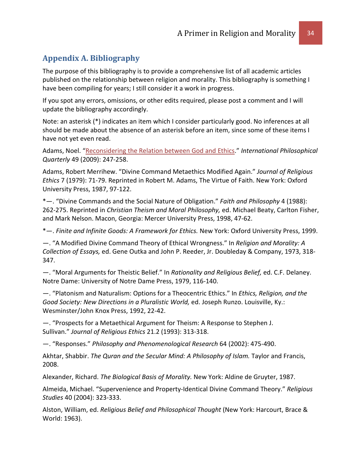## <span id="page-33-0"></span>**Appendix A. Bibliography**

The purpose of this bibliography is to provide a comprehensive list of all academic articles published on the relationship between religion and morality. This bibliography is something I have been compiling for years; I still consider it a work in progress.

If you spot any errors, omissions, or other edits required, please post a comment and I will update the bibliography accordingly.

Note: an asterisk (\*) indicates an item which I consider particularly good. No inferences at all should be made about the absence of an asterisk before an item, since some of these items I have not yet even read.

Adams, Noel. "Reconsidering the [Relation between God and Ethics.](http://www.pdcnet.org/collection/show?id=ipq_2009_0049_0002_0247_0258&file_type=pdf)" *International Philosophical Quarterly* 49 (2009): 247-258.

Adams, Robert Merrihew. "Divine Command Metaethics Modified Again." *Journal of Religious Ethics* 7 (1979): 71-79. Reprinted in Robert M. Adams, The Virtue of Faith. New York: Oxford University Press, 1987, 97-122.

\*—. "Divine Commands and the Social Nature of Obligation." *Faith and Philosophy* 4 (1988): 262-275. Reprinted in *Christian Theism and Moral Philosophy,* ed. Michael Beaty, Carlton Fisher, and Mark Nelson. Macon, Georgia: Mercer University Press, 1998, 47-62.

\*—. *Finite and Infinite Goods: A Framework for Ethics.* New York: Oxford University Press, 1999.

—. "A Modified Divine Command Theory of Ethical Wrongness." In *Religion and Morality: A Collection of Essays,* ed. Gene Outka and John P. Reeder, Jr. Doubleday & Company, 1973, 318- 347.

—. "Moral Arguments for Theistic Belief." In *Rationality and Religious Belief,* ed. C.F. Delaney. Notre Dame: University of Notre Dame Press, 1979, 116-140.

—. "Platonism and Naturalism: Options for a Theocentric Ethics." In *Ethics, Religion, and the Good Society: New Directions in a Pluralistic World,* ed. Joseph Runzo. Louisville, Ky.: Wesminster/John Knox Press, 1992, 22-42.

—. "Prospects for a Metaethical Argument for Theism: A Response to Stephen J. Sullivan." *Journal of Religious Ethics* 21.2 (1993): 313-318.

—. "Responses." *Philosophy and Phenomenological Research* 64 (2002): 475-490.

Akhtar, Shabbir. *The Quran and the Secular Mind: A Philosophy of Islam.* Taylor and Francis, 2008.

Alexander, Richard. *The Biological Basis of Morality.* New York: Aldine de Gruyter, 1987.

Almeida, Michael. "Supervenience and Property-Identical Divine Command Theory." *Religious Studies* 40 (2004): 323-333.

Alston, William, ed. *Religious Belief and Philosophical Thought* (New York: Harcourt, Brace & World: 1963).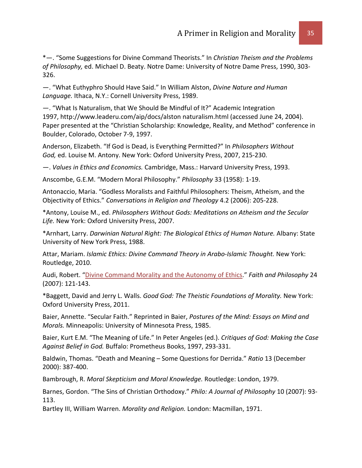\*—. "Some Suggestions for Divine Command Theorists." In *Christian Theism and the Problems of Philosophy,* ed. Michael D. Beaty. Notre Dame: University of Notre Dame Press, 1990, 303- 326.

—. "What Euthyphro Should Have Said." In William Alston, *Divine Nature and Human Language.* Ithaca, N.Y.: Cornell University Press, 1989.

—. "What Is Naturalism, that We Should Be Mindful of It?" Academic Integration 1997, http://www.leaderu.com/aip/docs/alston naturalism.html (accessed June 24, 2004). Paper presented at the "Christian Scholarship: Knowledge, Reality, and Method" conference in Boulder, Colorado, October 7-9, 1997.

Anderson, Elizabeth. "If God is Dead, is Everything Permitted?" In *Philosophers Without God,* ed. Louise M. Antony. New York: Oxford University Press, 2007, 215-230.

—. *Values in Ethics and Economics.* Cambridge, Mass.: Harvard University Press, 1993.

Anscombe, G.E.M. "Modern Moral Philosophy." *Philosophy* 33 (1958): 1-19.

Antonaccio, Maria. "Godless Moralists and Faithful Philosophers: Theism, Atheism, and the Objectivity of Ethics." *Conversations in Religion and Theology* 4.2 (2006): 205-228.

\*Antony, Louise M., ed. *Philosophers Without Gods: Meditations on Atheism and the Secular Life.* New York: Oxford University Press, 2007.

\*Arnhart, Larry. *Darwinian Natural Right: The Biological Ethics of Human Nature.* Albany: State University of New York Press, 1988.

Attar, Mariam. *Islamic Ethics: Divine Command Theory in Arabo-Islamic Thought.* New York: Routledge, 2010.

Audi, Robert. ["Divine Command Morality and the Autonomy of Ethics.](http://www.pdcnet.org/collection/show?id=faithphil_2007_0024_0002_0121_0143&file_type=pdf)" *Faith and Philosophy* 24 (2007): 121-143.

\*Baggett, David and Jerry L. Walls. *Good God: The Theistic Foundations of Morality.* New York: Oxford University Press, 2011.

Baier, Annette. "Secular Faith." Reprinted in Baier, *Postures of the Mind: Essays on Mind and Morals.* Minneapolis: University of Minnesota Press, 1985.

Baier, Kurt E.M. "The Meaning of Life." In Peter Angeles (ed.). *Critiques of God: Making the Case Against Belief in God.* Buffalo: Prometheus Books, 1997, 293-331.

Baldwin, Thomas. "Death and Meaning – Some Questions for Derrida." *Ratio* 13 (December 2000): 387-400.

Bambrough, R. *Moral Skepticism and Moral Knowledge.* Routledge: London, 1979.

Barnes, Gordon. "The Sins of Christian Orthodoxy." *Philo: A Journal of Philosophy* 10 (2007): 93- 113.

Bartley III, William Warren. *Morality and Religion.* London: Macmillan, 1971.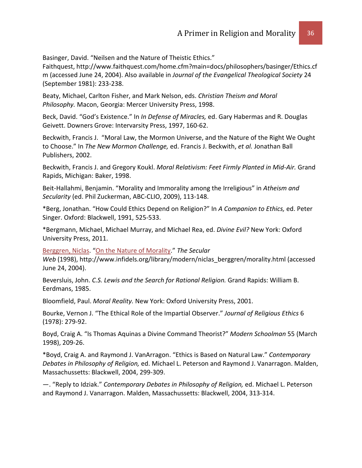Basinger, David. "Neilsen and the Nature of Theistic Ethics."

Faithquest, http://www.faithquest.com/home.cfm?main=docs/philosophers/basinger/Ethics.cf m (accessed June 24, 2004). Also available in *Journal of the Evangelical Theological Society* 24 (September 1981): 233-238.

Beaty, Michael, Carlton Fisher, and Mark Nelson, eds. *Christian Theism and Moral Philosophy.* Macon, Georgia: Mercer University Press, 1998.

Beck, David. "God's Existence." In *In Defense of Miracles,* ed. Gary Habermas and R. Douglas Geivett. Downers Grove: Intervarsity Press, 1997, 160-62.

Beckwith, Francis J. "Moral Law, the Mormon Universe, and the Nature of the Right We Ought to Choose." In *The New Mormon Challenge,* ed. Francis J. Beckwith, *et al.* Jonathan Ball Publishers, 2002.

Beckwith, Francis J. and Gregory Koukl. *Moral Relativism: Feet Firmly Planted in Mid-Air.* Grand Rapids, Michigan: Baker, 1998.

Beit-Hallahmi, Benjamin. "Morality and Immorality among the Irreligious" in *Atheism and Secularity* (ed. Phil Zuckerman, ABC-CLIO, 2009), 113-148.

\*Berg, Jonathan. "How Could Ethics Depend on Religion?" In *A Companion to Ethics,* ed. Peter Singer. Oxford: Blackwell, 1991, 525-533.

\*Bergmann, Michael, Michael Murray, and Michael Rea, ed. *Divine Evil?* New York: Oxford University Press, 2011.

[Berggren, Niclas.](http://www.infidels.org/library/modern/niclas_berggren/) ["On the Nature of Morality.](http://www.infidels.org/library/modern/niclas_berggren/morality.html)" *The Secular* 

*Web* (1998), http://www.infidels.org/library/modern/niclas\_berggren/morality.html (accessed June 24, 2004).

Beversluis, John. *C.S. Lewis and the Search for Rational Religion.* Grand Rapids: William B. Eerdmans, 1985.

Bloomfield, Paul. *Moral Reality.* New York: Oxford University Press, 2001.

Bourke, Vernon J. "The Ethical Role of the Impartial Observer." *Journal of Religious Ethics* 6 (1978): 279-92.

Boyd, Craig A. "Is Thomas Aquinas a Divine Command Theorist?" *Modern Schoolman* 55 (March 1998), 209-26.

\*Boyd, Craig A. and Raymond J. VanArragon. "Ethics is Based on Natural Law." *Contemporary Debates in Philosophy of Religion,* ed. Michael L. Peterson and Raymond J. Vanarragon. Malden, Massachussetts: Blackwell, 2004, 299-309.

—. "Reply to Idziak." *Contemporary Debates in Philosophy of Religion,* ed. Michael L. Peterson and Raymond J. Vanarragon. Malden, Massachussetts: Blackwell, 2004, 313-314.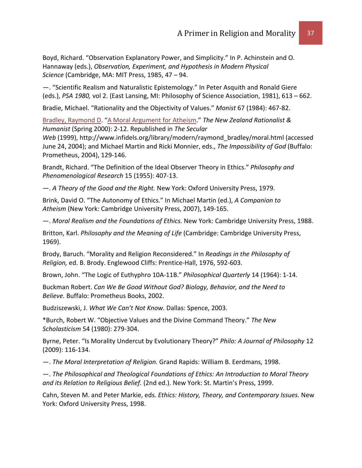Boyd, Richard. "Observation Explanatory Power, and Simplicity." In P. Achinstein and O. Hannaway (eds.), *Observation, Experiment, and Hypothesis in Modern Physical Science* (Cambridge, MA: MIT Press, 1985, 47 – 94.

—. "Scientific Realism and Naturalistic Epistemology." In Peter Asquith and Ronald Giere (eds.), *PSA 1980,* vol 2. (East Lansing, MI: Philosophy of Science Association, 1981), 613 – 662.

Bradie, Michael. "Rationality and the Objectivity of Values." *Monist* 67 (1984): 467-82.

[Bradley, Raymond D.](http://www.infidels.org/library/modern/raymond_bradley/) ["A Moral Argument for Atheism.](http://www.infidels.org/library/modern/raymond_bradley/moral.html)" *The New Zealand Rationalist & Humanist* (Spring 2000): 2-12. Republished in *The Secular* 

*Web* (1999), http://www.infidels.org/library/modern/raymond\_bradley/moral.html (accessed June 24, 2004); and Michael Martin and Ricki Monnier, eds., *The Impossibility of God* (Buffalo: Prometheus, 2004), 129-146.

Brandt, Richard. "The Definition of the Ideal Observer Theory in Ethics." *Philosophy and Phenomenological Research* 15 (1955): 407-13.

—. *A Theory of the Good and the Right.* New York: Oxford University Press, 1979.

Brink, David O. "The Autonomy of Ethics." In Michael Martin (ed.), *A Companion to Atheism* (New York: Cambridge University Press, 2007), 149-165.

—. *Moral Realism and the Foundations of Ethics.* New York: Cambridge University Press, 1988.

Britton, Karl. *Philosophy and the Meaning of Life* (Cambridge: Cambridge University Press, 1969).

Brody, Baruch. "Morality and Religion Reconsidered." In *Readings in the Philosophy of Religion,* ed. B. Brody. Englewood Cliffs: Prentice-Hall, 1976, 592-603.

Brown, John. "The Logic of Euthyphro 10A-11B." *Philosophical Quarterly* 14 (1964): 1-14.

Buckman Robert. *Can We Be Good Without God? Biology, Behavior, and the Need to Believe.* Buffalo: Prometheus Books, 2002.

Budziszewski, J. *What We Can't Not Know.* Dallas: Spence, 2003.

\*Burch, Robert W. "Objective Values and the Divine Command Theory." *The New Scholasticism* 54 (1980): 279-304.

Byrne, Peter. "Is Morality Undercut by Evolutionary Theory?" *Philo: A Journal of Philosophy* 12 (2009): 116-134.

—. *The Moral Interpretation of Religion.* Grand Rapids: William B. Eerdmans, 1998.

—. *The Philosophical and Theological Foundations of Ethics: An Introduction to Moral Theory and its Relation to Religious Belief.* (2nd ed.). New York: St. Martin's Press, 1999.

Cahn, Steven M. and Peter Markie, eds. *Ethics: History, Theory, and Contemporary Issues.* New York: Oxford University Press, 1998.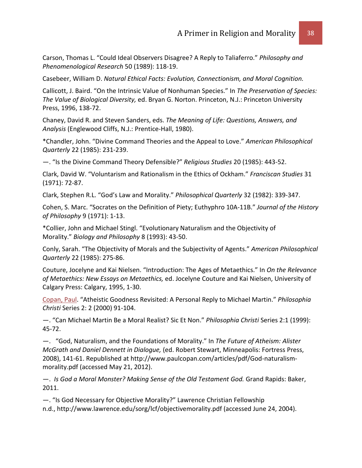Carson, Thomas L. "Could Ideal Observers Disagree? A Reply to Taliaferro." *Philosophy and Phenomenological Research* 50 (1989): 118-19.

Casebeer, William D. *Natural Ethical Facts: Evolution, Connectionism, and Moral Cognition.*

Callicott, J. Baird. "On the Intrinsic Value of Nonhuman Species." In *The Preservation of Species: The Value of Biological Diversity,* ed. Bryan G. Norton. Princeton, N.J.: Princeton University Press, 1996, 138-72.

Chaney, David R. and Steven Sanders, eds. *The Meaning of Life: Questions, Answers, and Analysis* (Englewood Cliffs, N.J.: Prentice-Hall, 1980).

\*Chandler, John. "Divine Command Theories and the Appeal to Love." *American Philosophical Quarterly* 22 (1985): 231-239.

—. "Is the Divine Command Theory Defensible?" *Religious Studies* 20 (1985): 443-52.

Clark, David W. "Voluntarism and Rationalism in the Ethics of Ockham." *Franciscan Studies* 31 (1971): 72-87.

Clark, Stephen R.L. "God's Law and Morality." *Philosophical Quarterly* 32 (1982): 339-347.

Cohen, S. Marc. "Socrates on the Definition of Piety; Euthyphro 10A-11B." *Journal of the History of Philosophy* 9 (1971): 1-13.

\*Collier, John and Michael Stingl. "Evolutionary Naturalism and the Objectivity of Morality." *Biology and Philosophy* 8 (1993): 43-50.

Conly, Sarah. "The Objectivity of Morals and the Subjectivity of Agents." *American Philosophical Quarterly* 22 (1985): 275-86.

Couture, Jocelyne and Kai Nielsen. "Introduction: The Ages of Metaethics." In *On the Relevance of Metaethics: New Essays on Metaethics,* ed. Jocelyne Couture and Kai Nielsen, University of Calgary Press: Calgary, 1995, 1-30.

[Copan, Paul.](http://www.infidels.org/library/modern/paul_copan/) "Atheistic Goodness Revisited: A Personal Reply to Michael Martin." *Philosophia Christi* Series 2: 2 (2000) 91-104.

—. "Can Michael Martin Be a Moral Realist? Sic Et Non." *Philosophia Christi* Series 2:1 (1999): 45-72.

—. "God, Naturalism, and the Foundations of Morality." In *The Future of Atheism: Alister McGrath and Daniel Dennett in Dialogue,* (ed. Robert Stewart, Minneapolis: Fortress Press, 2008), 141-61. Republished at http://www.paulcopan.com/articles/pdf/God-naturalismmorality.pdf (accessed May 21, 2012).

—. *Is God a Moral Monster? Making Sense of the Old Testament God.* Grand Rapids: Baker, 2011.

—. "Is God Necessary for Objective Morality?" Lawrence Christian Fellowship n.d., http://www.lawrence.edu/sorg/lcf/objectivemorality.pdf (accessed June 24, 2004).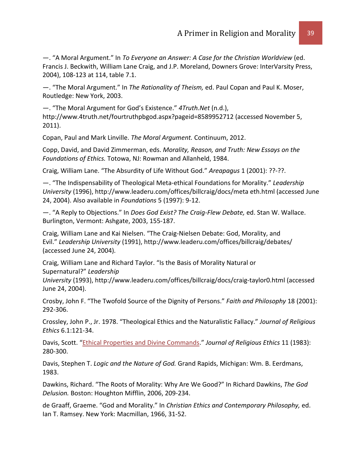—. "A Moral Argument." In *To Everyone an Answer: A Case for the Christian Worldview* (ed. Francis J. Beckwith, William Lane Craig, and J.P. Moreland, Downers Grove: InterVarsity Press, 2004), 108-123 at 114, table 7.1.

—. "The Moral Argument." In *The Rationality of Theism,* ed. Paul Copan and Paul K. Moser, Routledge: New York, 2003.

—. "The Moral Argument for God's Existence." *4Truth.Net* (n.d.), http://www.4truth.net/fourtruthpbgod.aspx?pageid=8589952712 (accessed November 5,

2011).

Copan, Paul and Mark Linville. *The Moral Argument.* Continuum, 2012.

Copp, David, and David Zimmerman, eds. *Morality, Reason, and Truth: New Essays on the Foundations of Ethics.* Totowa, NJ: Rowman and Allanheld, 1984.

Craig, William Lane. "The Absurdity of Life Without God." *Areapagus* 1 (2001): ??-??.

—. "The Indispensability of Theological Meta-ethical Foundations for Morality." *Leadership University* (1996), http://www.leaderu.com/offices/billcraig/docs/meta eth.html (accessed June 24, 2004). Also available in *Foundations* 5 (1997): 9-12.

—. "A Reply to Objections." In *Does God Exist? The Craig-Flew Debate,* ed. Stan W. Wallace. Burlington, Vermont: Ashgate, 2003, 155-187.

Craig, William Lane and Kai Nielsen. "The Craig-Nielsen Debate: God, Morality, and Evil." *Leadership University* (1991), http://www.leaderu.com/offices/billcraig/debates/ (accessed June 24, 2004).

Craig, William Lane and Richard Taylor. "Is the Basis of Morality Natural or Supernatural?" *Leadership* 

*University* (1993), http://www.leaderu.com/offices/billcraig/docs/craig-taylor0.html (accessed June 24, 2004).

Crosby, John F. "The Twofold Source of the Dignity of Persons." *Faith and Philosophy* 18 (2001): 292-306.

Crossley, John P., Jr. 1978. "Theological Ethics and the Naturalistic Fallacy." *Journal of Religious Ethics* 6.1:121-34.

Davis, Scott. ["Ethical Properties and Divine Commands.](http://www.jstor.org/stable/40017710)" *Journal of Religious Ethics* 11 (1983): 280-300.

Davis, Stephen T. *Logic and the Nature of God.* Grand Rapids, Michigan: Wm. B. Eerdmans, 1983.

Dawkins, Richard. "The Roots of Morality: Why Are We Good?" In Richard Dawkins, *The God Delusion.* Boston: Houghton Mifflin, 2006, 209-234.

de Graaff, Graeme. "God and Morality." In *Christian Ethics and Contemporary Philosophy,* ed. Ian T. Ramsey. New York: Macmillan, 1966, 31-52.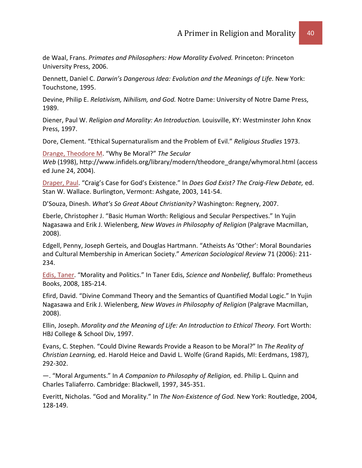de Waal, Frans. *Primates and Philosophers: How Morality Evolved.* Princeton: Princeton University Press, 2006.

Dennett, Daniel C. *Darwin's Dangerous Idea: Evolution and the Meanings of Life.* New York: Touchstone, 1995.

Devine, Philip E. *Relativism, Nihilism, and God.* Notre Dame: University of Notre Dame Press, 1989.

Diener, Paul W. *Religion and Morality: An Introduction.* Louisville, KY: Westminster John Knox Press, 1997.

Dore, Clement. "Ethical Supernaturalism and the Problem of Evil." *Religious Studies* 1973.

[Drange, Theodore M.](http://www.infidels.org/library/modern/theodore_drange/) "Why Be Moral?" *The Secular Web* (1998), http://www.infidels.org/library/modern/theodore\_drange/whymoral.html (access ed June 24, 2004).

[Draper, Paul.](http://www.infidels.org/library/modern/paul_draper/) "Craig's Case for God's Existence." In *Does God Exist? The Craig-Flew Debate,* ed. Stan W. Wallace. Burlington, Vermont: Ashgate, 2003, 141-54.

D'Souza, Dinesh. *What's So Great About Christianity?* Washington: Regnery, 2007.

Eberle, Christopher J. "Basic Human Worth: Religious and Secular Perspectives." In Yujin Nagasawa and Erik J. Wielenberg, *New Waves in Philosophy of Religion* (Palgrave Macmillan, 2008).

Edgell, Penny, Joseph Gerteis, and Douglas Hartmann. "Atheists As 'Other': Moral Boundaries and Cultural Membership in American Society." *American Sociological Review* 71 (2006): 211- 234.

[Edis, Taner.](http://www.infidels.org/library/modern/taner_edis/) "Morality and Politics." In Taner Edis, *Science and Nonbelief,* Buffalo: Prometheus Books, 2008, 185-214.

Efird, David. "Divine Command Theory and the Semantics of Quantified Modal Logic." In Yujin Nagasawa and Erik J. Wielenberg, *New Waves in Philosophy of Religion* (Palgrave Macmillan, 2008).

Ellin, Joseph. *Morality and the Meaning of Life: An Introduction to Ethical Theory.* Fort Worth: HBJ College & School Div, 1997.

Evans, C. Stephen. "Could Divine Rewards Provide a Reason to be Moral?" In *The Reality of Christian Learning,* ed. Harold Heice and David L. Wolfe (Grand Rapids, MI: Eerdmans, 1987), 292-302.

—. "Moral Arguments." In *A Companion to Philosophy of Religion,* ed. Philip L. Quinn and Charles Taliaferro. Cambridge: Blackwell, 1997, 345-351.

Everitt, Nicholas. "God and Morality." In *The Non-Existence of God.* New York: Routledge, 2004, 128-149.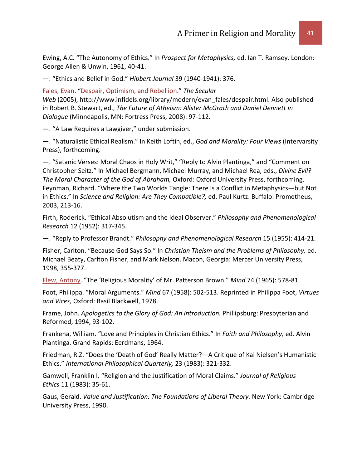Ewing, A.C. "The Autonomy of Ethics." In *Prospect for Metaphysics,* ed. Ian T. Ramsey. London: George Allen & Unwin, 1961, 40-41.

—. "Ethics and Belief in God." *Hibbert Journal* 39 (1940-1941): 376.

[Fales, Evan.](http://www.infidels.org/library/modern/evan_fales/) ["Despair, Optimism, and Rebellion.](http://www.infidels.org/library/modern/evan_fales/despair.html)" *The Secular Web* (2005), http://www.infidels.org/library/modern/evan\_fales/despair.html. Also published in Robert B. Stewart, ed., *The Future of Atheism: Alister McGrath and Daniel Dennett in Dialogue* (Minneapolis, MN: Fortress Press, 2008): 97-112.

—. "A Law Requires a Lawgiver," under submission.

—. "Naturalistic Ethical Realism." In Keith Loftin, ed., *God and Morality: Four Views* (Intervarsity Press), forthcoming.

—. "Satanic Verses: Moral Chaos in Holy Writ," "Reply to Alvin Plantinga," and "Comment on Christopher Seitz." In Michael Bergmann, Michael Murray, and Michael Rea, eds., *Divine Evil? The Moral Character of the God of Abraham,* Oxford: Oxford University Press, forthcoming. Feynman, Richard. "Where the Two Worlds Tangle: There Is a Conflict in Metaphysics—but Not in Ethics." In *Science and Religion: Are They Compatible?,* ed. Paul Kurtz. Buffalo: Prometheus, 2003, 213-16.

Firth, Roderick. "Ethical Absolutism and the Ideal Observer." *Philosophy and Phenomenological Research* 12 (1952): 317-345.

—. "Reply to Professor Brandt." *Philosophy and Phenomenological Research* 15 (1955): 414-21.

Fisher, Carlton. "Because God Says So." In *Christian Theism and the Problems of Philosophy,* ed. Michael Beaty, Carlton Fisher, and Mark Nelson. Macon, Georgia: Mercer University Press, 1998, 355-377.

[Flew, Antony.](http://www.infidels.org/library/modern/antony_flew/) "The 'Religious Morality' of Mr. Patterson Brown." *Mind* 74 (1965): 578-81.

Foot, Philippa. "Moral Arguments." *Mind* 67 (1958): 502-513. Reprinted in Philippa Foot, *Virtues and Vices,* Oxford: Basil Blackwell, 1978.

Frame, John. *Apologetics to the Glory of God: An Introduction.* Phillipsburg: Presbyterian and Reformed, 1994, 93-102.

Frankena, William. "Love and Principles in Christian Ethics." In *Faith and Philosophy,* ed. Alvin Plantinga. Grand Rapids: Eerdmans, 1964.

Friedman, R.Z. "Does the 'Death of God' Really Matter?—A Critique of Kai Nielsen's Humanistic Ethics." *International Philosophical Quarterly,* 23 (1983): 321-332.

Gamwell, Franklin I. "Religion and the Justification of Moral Claims." *Journal of Religious Ethics* 11 (1983): 35-61.

Gaus, Gerald. *Value and Justification: The Foundations of Liberal Theory.* New York: Cambridge University Press, 1990.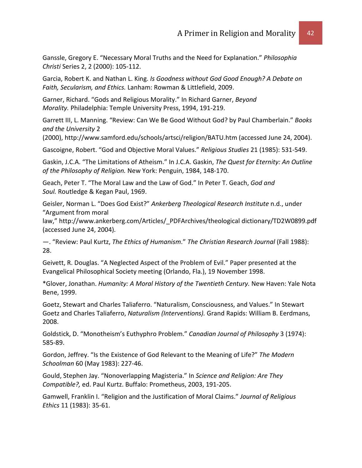Ganssle, Gregory E. "Necessary Moral Truths and the Need for Explanation." *Philosophia Christi* Series 2, 2 (2000): 105-112.

Garcia, Robert K. and Nathan L. King. *Is Goodness without God Good Enough? A Debate on Faith, Secularism, and Ethics.* Lanham: Rowman & Littlefield, 2009.

Garner, Richard. "Gods and Religious Morality." In Richard Garner, *Beyond Morality.* Philadelphia: Temple University Press, 1994, 191-219.

Garrett III, L. Manning. "Review: Can We Be Good Without God? by Paul Chamberlain." *Books and the University* 2

(2000), http://www.samford.edu/schools/artsci/religion/BATU.htm (accessed June 24, 2004).

Gascoigne, Robert. "God and Objective Moral Values." *Religious Studies* 21 (1985): 531-549.

Gaskin, J.C.A. "The Limitations of Atheism." In J.C.A. Gaskin, *The Quest for Eternity: An Outline of the Philosophy of Religion.* New York: Penguin, 1984, 148-170.

Geach, Peter T. "The Moral Law and the Law of God." In Peter T. Geach, *God and Soul.* Routledge & Kegan Paul, 1969.

Geisler, Norman L. "Does God Exist?" *Ankerberg Theological Research Institute* n.d., under "Argument from moral

law," http://www.ankerberg.com/Articles/\_PDFArchives/theological dictionary/TD2W0899.pdf (accessed June 24, 2004).

—. "Review: Paul Kurtz, *The Ethics of Humanism*." *The Christian Research Journal* (Fall 1988): 28.

Geivett, R. Douglas. "A Neglected Aspect of the Problem of Evil." Paper presented at the Evangelical Philosophical Society meeting (Orlando, Fla.), 19 November 1998.

\*Glover, Jonathan. *Humanity: A Moral History of the Twentieth Century.* New Haven: Yale Nota Bene, 1999.

Goetz, Stewart and Charles Taliaferro. "Naturalism, Consciousness, and Values." In Stewart Goetz and Charles Taliaferro, *Naturalism (Interventions).* Grand Rapids: William B. Eerdmans, 2008.

Goldstick, D. "Monotheism's Euthyphro Problem." *Canadian Journal of Philosophy* 3 (1974): 585-89.

Gordon, Jeffrey. "Is the Existence of God Relevant to the Meaning of Life?" *The Modern Schoolman* 60 (May 1983): 227-46.

Gould, Stephen Jay. "Nonoverlapping Magisteria." In *Science and Religion: Are They Compatible?,* ed. Paul Kurtz. Buffalo: Prometheus, 2003, 191-205.

Gamwell, Franklin I. "Religion and the Justification of Moral Claims." *Journal of Religious Ethics* 11 (1983): 35-61.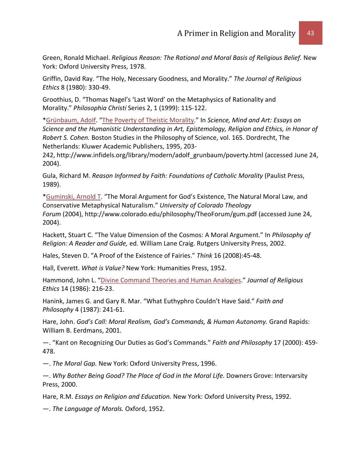Green, Ronald Michael. *Religious Reason: The Rational and Moral Basis of Religious Belief.* New York: Oxford University Press, 1978.

Griffin, David Ray. "The Holy, Necessary Goodness, and Morality." *The Journal of Religious Ethics* 8 (1980): 330-49.

Groothius, D. "Thomas Nagel's 'Last Word' on the Metaphysics of Rationality and Morality." *Philosophia Christi* Series 2, 1 (1999): 115-122.

[\\*Grünbaum, Adolf.](http://www.infidels.org/library/modern/adolf_grunbaum/) ["The Poverty of Theistic Morality.](http://www.infidels.org/library/modern/adolf_grunbaum/poverty.html)" In *Science, Mind and Art: Essays on Science and the Humanistic Understanding in Art, Epistemology, Religion and Ethics, in Honor of Robert S. Cohen.* Boston Studies in the Philosophy of Science, vol. 165. Dordrecht, The Netherlands: Kluwer Academic Publishers, 1995, 203-

242, http://www.infidels.org/library/modern/adolf\_grunbaum/poverty.html (accessed June 24, 2004).

Gula, Richard M. *Reason Informed by Faith: Foundations of Catholic Morality* (Paulist Press, 1989).

[\\*Guminski, Arnold T.](http://www.infidels.org/library/modern/arnold_guminski/) "The Moral Argument for God's Existence, The Natural Moral Law, and Conservative Metaphysical Naturalism." *University of Colorado Theology Forum* (2004), http://www.colorado.edu/philosophy/TheoForum/gum.pdf (accessed June 24, 2004).

Hackett, Stuart C. "The Value Dimension of the Cosmos: A Moral Argument." In *Philosophy of Religion: A Reader and Guide,* ed. William Lane Craig. Rutgers University Press, 2002.

Hales, Steven D. "A Proof of the Existence of Fairies." *Think* 16 (2008):45-48.

Hall, Everett. *What is Value?* New York: Humanities Press, 1952.

Hammond, John L. ["Divine Command Theories and Human Analogies.](http://www.jstor.org/stable/40015031)" *Journal of Religious Ethics* 14 (1986): 216-23.

Hanink, James G. and Gary R. Mar. "What Euthyphro Couldn't Have Said." *Faith and Philosophy* 4 (1987): 241-61.

Hare, John. *God's Call: Moral Realism, God's Commands, & Human Autonomy.* Grand Rapids: William B. Eerdmans, 2001.

—. "Kant on Recognizing Our Duties as God's Commands." *Faith and Philosophy* 17 (2000): 459- 478.

—. *The Moral Gap.* New York: Oxford University Press, 1996.

—. *Why Bother Being Good? The Place of God in the Moral Life.* Downers Grove: Intervarsity Press, 2000.

Hare, R.M. *Essays on Religion and Education.* New York: Oxford University Press, 1992.

—. *The Language of Morals.* Oxford, 1952.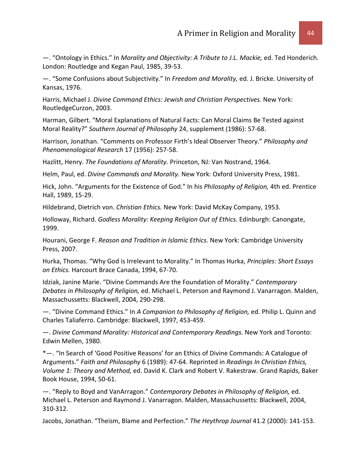—. "Ontology in Ethics." In *Morality and Objectivity: A Tribute to J.L. Mackie,* ed. Ted Honderich. London: Routledge and Kegan Paul, 1985, 39-53.

—. "Some Confusions about Subjectivity." In *Freedom and Morality,* ed. J. Bricke. University of Kansas, 1976.

Harris, Michael J. *Divine Command Ethics: Jewish and Christian Perspectives.* New York: RoutledgeCurzon, 2003.

Harman, Gilbert. "Moral Explanations of Natural Facts: Can Moral Claims Be Tested against Moral Reality?" *Southern Journal of Philosophy* 24, supplement (1986): 57-68.

Harrison, Jonathan. "Comments on Professor Firth's Ideal Observer Theory." *Philosophy and Phenomenological Research* 17 (1956): 257-58.

Hazlitt, Henry. *The Foundations of Morality.* Princeton, NJ: Van Nostrand, 1964.

Helm, Paul, ed. *Divine Commands and Morality.* New York: Oxford University Press, 1981.

Hick, John. "Arguments for the Existence of God." In his *Philosophy of Religion,* 4th ed. Prentice Hall, 1989, 15-29.

Hildebrand, Dietrich von. *Christian Ethics.* New York: David McKay Company, 1953.

Holloway, Richard. *Godless Morality: Keeping Religion Out of Ethics.* Edinburgh: Canongate, 1999.

Hourani, George F. *Reason and Tradition in Islamic Ethics.* New York: Cambridge University Press, 2007.

Hurka, Thomas. "Why God is Irrelevant to Morality." In Thomas Hurka, *Principles: Short Essays on Ethics.* Harcourt Brace Canada, 1994, 67-70.

Idziak, Janine Marie. "Divine Commands Are the Foundation of Morality." *Contemporary Debates in Philosophy of Religion,* ed. Michael L. Peterson and Raymond J. Vanarragon. Malden, Massachussetts: Blackwell, 2004, 290-298.

—. "Divine Command Ethics." In *A Companion to Philosophy of Religion,* ed. Philip L. Quinn and Charles Taliaferro. Cambridge: Blackwell, 1997, 453-459.

—. *Divine Command Morality: Historical and Contemporary Readings.* New York and Toronto: Edwin Mellen, 1980.

\*—. "In Search of 'Good Positive Reasons' for an Ethics of Divine Commands: A Catalogue of Arguments." *Faith and Philosophy* 6 (1989): 47-64. Reprinted in *Readings In Christian Ethics, Volume 1: Theory and Method,* ed. David K. Clark and Robert V. Rakestraw. Grand Rapids, Baker Book House, 1994, 50-61.

—. "Reply to Boyd and VanArragon." *Contemporary Debates in Philosophy of Religion,* ed. Michael L. Peterson and Raymond J. Vanarragon. Malden, Massachussetts: Blackwell, 2004, 310-312.

Jacobs, Jonathan. "Theism, Blame and Perfection." *The Heythrop Journal* 41.2 (2000): 141-153.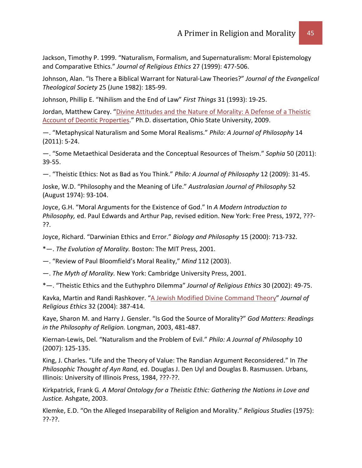Jackson, Timothy P. 1999. "Naturalism, Formalism, and Supernaturalism: Moral Epistemology and Comparative Ethics." *Journal of Religious Ethics* 27 (1999): 477-506.

Johnson, Alan. "Is There a Biblical Warrant for Natural-Law Theories?" *Journal of the Evangelical Theological Society* 25 (June 1982): 185-99.

Johnson, Phillip E. "Nihilism and the End of Law" *First Things* 31 (1993): 19-25.

Jordan, Matthew Carey. "Divine Attitudes and the Nature of Morality: A Defense of a Theistic [Account of Deontic Properties.](http://etd.ohiolink.edu/view.cgi?acc_num=osu1243652774)" Ph.D. dissertation, Ohio State University, 2009.

—. "Metaphysical Naturalism and Some Moral Realisms." *Philo: A Journal of Philosophy* 14 (2011): 5-24.

—. "Some Metaethical Desiderata and the Conceptual Resources of Theism." *Sophia* 50 (2011): 39-55.

—. "Theistic Ethics: Not as Bad as You Think." *Philo: A Journal of Philosophy* 12 (2009): 31-45.

Joske, W.D. "Philosophy and the Meaning of Life." *Australasian Journal of Philosophy* 52 (August 1974): 93-104.

Joyce, G.H. "Moral Arguments for the Existence of God." In *A Modern Introduction to Philosophy,* ed. Paul Edwards and Arthur Pap, revised edition. New York: Free Press, 1972, ???- ??.

Joyce, Richard. "Darwinian Ethics and Error." *Biology and Philosophy* 15 (2000): 713-732.

\*—. *The Evolution of Morality.* Boston: The MIT Press, 2001.

—. "Review of Paul Bloomfield's Moral Reality," *Mind* 112 (2003).

—. *The Myth of Morality.* New York: Cambridge University Press, 2001.

\*—. "Theistic Ethics and the Euthyphro Dilemma" *Journal of Religious Ethics* 30 (2002): 49-75.

Kavka, Martin and Randi Rashkover. ["A Jewish Modified Divine Command Theory"](http://www.blackwell-synergy.com/links/doi/10.1111%2Fj.1467-9795.2004.00170.x) Journal of *Religious Ethics* 32 (2004): 387-414.

Kaye, Sharon M. and Harry J. Gensler. "Is God the Source of Morality?" *God Matters: Readings in the Philosophy of Religion.* Longman, 2003, 481-487.

Kiernan-Lewis, Del. "Naturalism and the Problem of Evil." *Philo: A Journal of Philosophy* 10 (2007): 125-135.

King, J. Charles. "Life and the Theory of Value: The Randian Argument Reconsidered." In *The Philosophic Thought of Ayn Rand,* ed. Douglas J. Den Uyl and Douglas B. Rasmussen. Urbans, Illinois: University of Illinois Press, 1984, ???-??.

Kirkpatrick, Frank G. *A Moral Ontology for a Theistic Ethic: Gathering the Nations in Love and Justice.* Ashgate, 2003.

Klemke, E.D. "On the Alleged Inseparability of Religion and Morality." *Religious Studies* (1975): ??-??.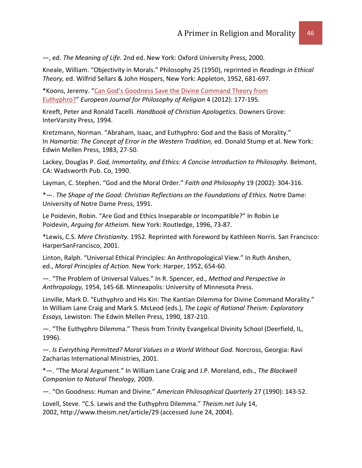—, ed. *The Meaning of Life.* 2nd ed. New York: Oxford University Press, 2000.

Kneale, William. "Objectivity in Morals." Philosophy 25 (1950), reprinted in *Readings in Ethical Theory,* ed. Wilfrid Sellars & John Hospers, New York: Appleton, 1952, 681-697.

\*Koons, Jeremy. ["Can God's Goodness Save the Divine Command Theory from](http://www9.georgetown.edu/faculty/koonsj/papers/Euthyphro.pdf)  [Euthyphro?"](http://www9.georgetown.edu/faculty/koonsj/papers/Euthyphro.pdf) *European Journal for Philosophy of Religion* 4 (2012): 177-195.

Kreeft, Peter and Ronald Tacelli. *Handbook of Christian Apologetics.* Downers Grove: InterVarsity Press, 1994.

Kretzmann, Norman. "Abraham, Isaac, and Euthyphro: God and the Basis of Morality." In *Hamartia: The Concept of Error in the Western Tradition,* ed. Donald Stump et al. New York: Edwin Mellen Press, 1983, 27-50.

Lackey, Douglas P. *God, Immortality, and Ethics: A Concise Introduction to Philosophy.* Belmont, CA: Wadsworth Pub. Co, 1990.

Layman, C. Stephen. "God and the Moral Order." *Faith and Philosophy* 19 (2002): 304-316.

\*—. *The Shape of the Good: Christian Reflections on the Foundations of Ethics.* Notre Dame: University of Notre Dame Press, 1991.

Le Poidevin, Robin. "Are God and Ethics Inseparable or Incompatible?" In Robin Le Poidevin, *Arguing for Atheism.* New York: Routledge, 1996, 73-87.

\*Lewis, C.S. *Mere Christianity.* 1952. Reprinted with foreword by Kathleen Norris. San Francisco: HarperSanFrancisco, 2001.

Linton, Ralph. "Universal Ethical Principles: An Anthropological View." In Ruth Anshen, ed., *Moral Principles of Action.* New York: Harper, 1952, 654-60.

—. "The Problem of Universal Values." In R. Spencer, ed., *Method and Perspective in Anthropology,* 1954, 145-68. Minneapolis: University of Minnesota Press.

Linville, Mark D. "Euthyphro and His Kin: The Kantian Dilemma for Divine Command Morality." In William Lane Craig and Mark S. McLeod (eds.), *The Logic of Rational Theism: Exploratory Essays,* Lewiston: The Edwin Mellen Press, 1990, 187-210.

—. "The Euthyphro Dilemma." Thesis from Trinity Evangelical Divinity School (Deerfield, IL, 1996).

—. *Is Everything Permitted? Moral Values in a World Without God.* Norcross, Georgia: Ravi Zacharias International Ministries, 2001.

\*—. "The Moral Argument." In William Lane Craig and J.P. Moreland, eds., *The Blackwell Companion to Natural Theology,* 2009.

—. "On Goodness: Human and Divine." *American Philosophical Quarterly* 27 (1990): 143-52.

Lovell, Steve. "C.S. Lewis and the Euthyphro Dilemma." *Theism.net* July 14, 2002, http://www.theism.net/article/29 (accessed June 24, 2004).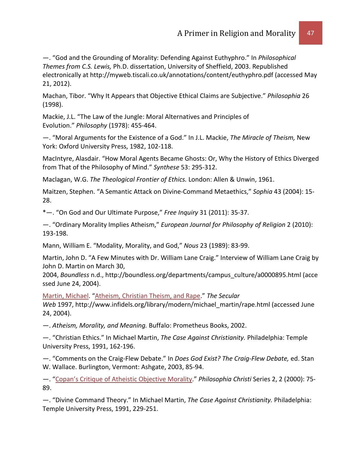—. "God and the Grounding of Morality: Defending Against Euthyphro." In *Philosophical Themes from C.S. Lewis,* Ph.D. dissertation, University of Sheffield, 2003. Republished electronically at http://myweb.tiscali.co.uk/annotations/content/euthyphro.pdf (accessed May 21, 2012).

Machan, Tibor. "Why It Appears that Objective Ethical Claims are Subjective." *Philosophia* 26 (1998).

Mackie, J.L. "The Law of the Jungle: Moral Alternatives and Principles of Evolution." *Philosophy* (1978): 455-464.

—. "Moral Arguments for the Existence of a God." In J.L. Mackie, *The Miracle of Theism,* New York: Oxford University Press, 1982, 102-118.

MacIntyre, Alasdair. "How Moral Agents Became Ghosts: Or, Why the History of Ethics Diverged from That of the Philosophy of Mind." *Synthese* 53: 295-312.

Maclagan, W.G. *The Theological Frontier of Ethics.* London: Allen & Unwin, 1961.

Maitzen, Stephen. "A Semantic Attack on Divine-Command Metaethics," *Sophia* 43 (2004): 15- 28.

\*—. "On God and Our Ultimate Purpose," *Free Inquiry* 31 (2011): 35-37.

—. "Ordinary Morality Implies Atheism," *European Journal for Philosophy of Religion* 2 (2010): 193-198.

Mann, William E. "Modality, Morality, and God," *Nous* 23 (1989): 83-99.

Martin, John D. "A Few Minutes with Dr. William Lane Craig." Interview of William Lane Craig by John D. Martin on March 30,

2004, *Boundless* n.d., http://boundless.org/departments/campus\_culture/a0000895.html (acce ssed June 24, 2004).

[Martin, Michael.](http://www.infidels.org/library/modern/michael_martin/) ["Atheism, Christian Theism, and Rape.](http://www.infidels.org/library/modern/michael_martin/rape.html)" *The Secular* 

*Web* 1997, http://www.infidels.org/library/modern/michael\_martin/rape.html (accessed June 24, 2004).

—. *Atheism, Morality, and Meaning.* Buffalo: Prometheus Books, 2002.

—. "Christian Ethics." In Michael Martin, *The Case Against Christianity.* Philadelphia: Temple University Press, 1991, 162-196.

—. "Comments on the Craig-Flew Debate." In *Does God Exist? The Craig-Flew Debate,* ed. Stan W. Wallace. Burlington, Vermont: Ashgate, 2003, 85-94.

—. ["Copan's Critique of Atheistic Objective Morality.](http://www.infidels.org/library/modern/michael_martin/copan.html)" *Philosophia Christi* Series 2, 2 (2000): 75- 89.

—. "Divine Command Theory." In Michael Martin, *The Case Against Christianity.* Philadelphia: Temple University Press, 1991, 229-251.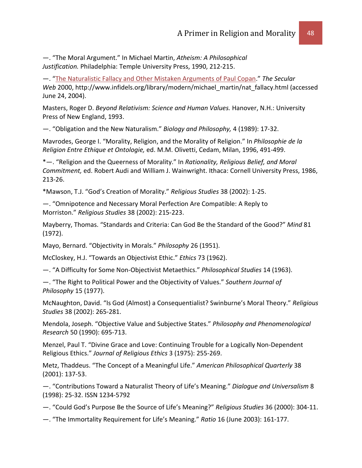—. "The Moral Argument." In Michael Martin, *Atheism: A Philosophical Justification.* Philadelphia: Temple University Press, 1990, 212-215.

—. ["The Naturalistic Fallacy and Other Mistaken Arguments of Paul Copan.](http://www.infidels.org/library/modern/michael_martin/nat_fallacy.html)" *The Secular Web* 2000, http://www.infidels.org/library/modern/michael\_martin/nat\_fallacy.html (accessed June 24, 2004).

Masters, Roger D. *Beyond Relativism: Science and Human Values.* Hanover, N.H.: University Press of New England, 1993.

—. "Obligation and the New Naturalism." *Biology and Philosophy,* 4 (1989): 17-32.

Mavrodes, George I. "Morality, Religion, and the Morality of Religion." In *Philosophie de la Religion Entre Ethique et Ontologie,* ed. M.M. Olivetti, Cedam, Milan, 1996, 491-499.

\*—. "Religion and the Queerness of Morality." In *Rationality, Religious Belief, and Moral Commitment,* ed. Robert Audi and William J. Wainwright. Ithaca: Cornell University Press, 1986, 213-26.

\*Mawson, T.J. "God's Creation of Morality." *Religious Studies* 38 (2002): 1-25.

—. "Omnipotence and Necessary Moral Perfection Are Compatible: A Reply to Morriston." *Religious Studies* 38 (2002): 215-223.

Mayberry, Thomas. "Standards and Criteria: Can God Be the Standard of the Good?" *Mind* 81 (1972).

Mayo, Bernard. "Objectivity in Morals." *Philosophy* 26 (1951).

McCloskey, H.J. "Towards an Objectivist Ethic." *Ethics* 73 (1962).

—. "A Difficulty for Some Non-Objectivist Metaethics." *Philosophical Studies* 14 (1963).

—. "The Right to Political Power and the Objectivity of Values." *Southern Journal of Philosophy* 15 (1977).

McNaughton, David. "Is God (Almost) a Consequentialist? Swinburne's Moral Theory." *Religious Studies* 38 (2002): 265-281.

Mendola, Joseph. "Objective Value and Subjective States." *Philosophy and Phenomenological Research* 50 (1990): 695-713.

Menzel, Paul T. "Divine Grace and Love: Continuing Trouble for a Logically Non-Dependent Religious Ethics." *Journal of Religious Ethics* 3 (1975): 255-269.

Metz, Thaddeus. "The Concept of a Meaningful Life." *American Philosophical Quarterly* 38 (2001): 137-53.

—. "Contributions Toward a Naturalist Theory of Life's Meaning." *Dialogue and Universalism* 8 (1998): 25-32. ISSN 1234-5792

—. "Could God's Purpose Be the Source of Life's Meaning?" *Religious Studies* 36 (2000): 304-11.

—. "The Immortality Requirement for Life's Meaning." *Ratio* 16 (June 2003): 161-177.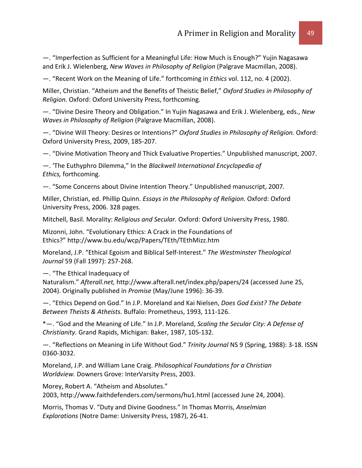—. "Imperfection as Sufficient for a Meaningful Life: How Much is Enough?" Yujin Nagasawa and Erik J. Wielenberg, *New Waves in Philosophy of Religion* (Palgrave Macmillan, 2008).

—. "Recent Work on the Meaning of Life." forthcoming in *Ethics* vol. 112, no. 4 (2002).

Miller, Christian. "Atheism and the Benefits of Theistic Belief," *Oxford Studies in Philosophy of Religion.* Oxford: Oxford University Press, forthcoming.

—. "Divine Desire Theory and Obligation." In Yujin Nagasawa and Erik J. Wielenberg, eds., *New Waves in Philosophy of Religion* (Palgrave Macmillan, 2008).

—. "Divine Will Theory: Desires or Intentions?" *Oxford Studies in Philosophy of Religion.* Oxford: Oxford University Press, 2009, 185-207.

—. "Divine Motivation Theory and Thick Evaluative Properties." Unpublished manuscript, 2007.

—. 'The Euthyphro Dilemma," In the *Blackwell International Encyclopedia of Ethics,* forthcoming.

—. "Some Concerns about Divine Intention Theory." Unpublished manuscript, 2007.

Miller, Christian, ed. Phillip Quinn. *Essays in the Philosophy of Religion.* Oxford: Oxford University Press, 2006. 328 pages.

Mitchell, Basil. Morality: *Religious and Secular.* Oxford: Oxford University Press, 1980.

Mizonni, John. "Evolutionary Ethics: A Crack in the Foundations of Ethics?" http://www.bu.edu/wcp/Papers/TEth/TEthMizz.htm

Moreland, J.P. "Ethical Egoism and Biblical Self-Interest." *The Westminster Theological Journal* 59 (Fall 1997): 257-268.

—. "The Ethical Inadequacy of

Naturalism." *Afterall.net,* http://www.afterall.net/index.php/papers/24 (accessed June 25, 2004). Originally published in *Promise* (May/June 1996): 36-39.

—. "Ethics Depend on God." In J.P. Moreland and Kai Nielsen, *Does God Exist? The Debate Between Theists & Atheists.* Buffalo: Prometheus, 1993, 111-126.

\*—. "God and the Meaning of Life." In J.P. Moreland, *Scaling the Secular City: A Defense of Christianity.* Grand Rapids, Michigan: Baker, 1987, 105-132.

—. "Reflections on Meaning in Life Without God." *Trinity Journal* NS 9 (Spring, 1988): 3-18. ISSN 0360-3032.

Moreland, J.P. and William Lane Craig. *Philosophical Foundations for a Christian Worldview.* Downers Grove: InterVarsity Press, 2003.

Morey, Robert A. "Atheism and Absolutes." 2003, http://www.faithdefenders.com/sermons/hu1.html (accessed June 24, 2004).

Morris, Thomas V. "Duty and Divine Goodness." In Thomas Morris, *Anselmian Explorations* (Notre Dame: University Press, 1987), 26-41.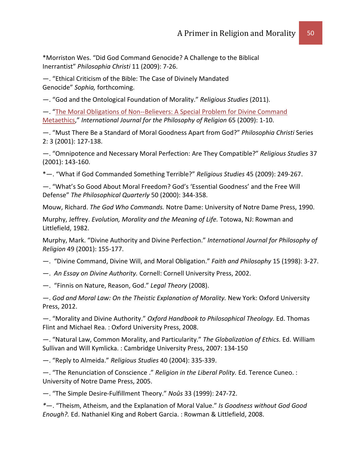\*Morriston Wes. "Did God Command Genocide? A Challenge to the Biblical Inerrantist" *Philosophia Christi* 11 (2009): 7-26.

—. "Ethical Criticism of the Bible: The Case of Divinely Mandated Genocide" *Sophia,* forthcoming.

—. "God and the Ontological Foundation of Morality." *Religious Studies* (2011).

—. ["The Moral Obligations of Non--Believers: A Special Problem for Divine Command](http://www.springerlink.com/content/e0508310x71k61k2/fulltext.pdf)  [Metaethics,](http://www.springerlink.com/content/e0508310x71k61k2/fulltext.pdf)" *International Journal for the Philosophy of Religion* 65 (2009): 1-10.

—. "Must There Be a Standard of Moral Goodness Apart from God?" *Philosophia Christi* Series 2: 3 (2001): 127-138.

—. "Omnipotence and Necessary Moral Perfection: Are They Compatible?" *Religious Studies* 37 (2001): 143-160.

\*—. "What if God Commanded Something Terrible?" *Religious Studies* 45 (2009): 249-267.

—. "What's So Good About Moral Freedom? God's 'Essential Goodness' and the Free Will Defense" *The Philosophical Quarterly* 50 (2000): 344-358.

Mouw, Richard. *The God Who Commands.* Notre Dame: University of Notre Dame Press, 1990.

Murphy, Jeffrey. *Evolution, Morality and the Meaning of Life.* Totowa, NJ: Rowman and Littlefield, 1982.

Murphy, Mark. "Divine Authority and Divine Perfection." *International Journal for Philosophy of Religion* 49 (2001): 155-177.

—. "Divine Command, Divine Will, and Moral Obligation." *Faith and Philosophy* 15 (1998): 3-27.

—. *An Essay on Divine Authority.* Cornell: Cornell University Press, 2002.

—. "Finnis on Nature, Reason, God." *Legal Theory* (2008).

—. *God and Moral Law: On the Theistic Explanation of Morality.* New York: Oxford University Press, 2012.

—. "Morality and Divine Authority." *Oxford Handbook to Philosophical Theology.* Ed. Thomas Flint and Michael Rea. : Oxford University Press, 2008.

—. "Natural Law, Common Morality, and Particularity." *The Globalization of Ethics.* Ed. William Sullivan and Will Kymlicka. : Cambridge University Press, 2007: 134-150

—. "Reply to Almeida." *Religious Studies* 40 (2004): 335-339.

—. "The Renunciation of Conscience ." *Religion in the Liberal Polity.* Ed. Terence Cuneo. : University of Notre Dame Press, 2005.

—. "The Simple Desire-Fulfillment Theory." *Noûs* 33 (1999): 247-72.

*\**—. "Theism, Atheism, and the Explanation of Moral Value." *Is Goodness without God Good Enough?.* Ed. Nathaniel King and Robert Garcia. : Rowman & Littlefield, 2008.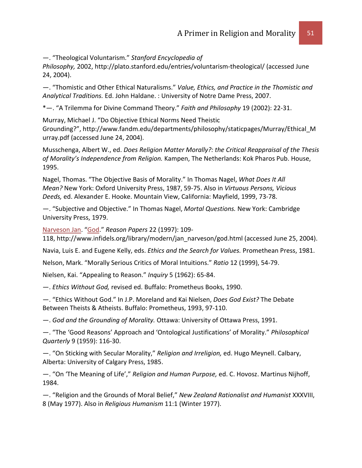—. "Theological Voluntarism." *Stanford Encyclopedia of* 

*Philosophy,* 2002, http://plato.stanford.edu/entries/voluntarism-theological/ (accessed June 24, 2004).

—. "Thomistic and Other Ethical Naturalisms." *Value, Ethics, and Practice in the Thomistic and Analytical Traditions.* Ed. John Haldane. : University of Notre Dame Press, 2007.

\*—. "A Trilemma for Divine Command Theory." *Faith and Philosophy* 19 (2002): 22-31.

Murray, Michael J. "Do Objective Ethical Norms Need Theistic Grounding?", http://www.fandm.edu/departments/philosophy/staticpages/Murray/Ethical\_M urray.pdf (accessed June 24, 2004).

Musschenga, Albert W., ed. *Does Religion Matter Morally?: the Critical Reappraisal of the Thesis of Morality's Independence from Religion.* Kampen, The Netherlands: Kok Pharos Pub. House, 1995.

Nagel, Thomas. "The Objective Basis of Morality." In Thomas Nagel, *What Does It All Mean?* New York: Oxford University Press, 1987, 59-75. Also in *Virtuous Persons, Vicious Deeds,* ed. Alexander E. Hooke. Mountain View, California: Mayfield, 1999, 73-78.

—. "Subjective and Objective." In Thomas Nagel, *Mortal Questions.* New York: Cambridge University Press, 1979.

[Narveson Jan.](http://www.infidels.org/library/modern/jan_narveson/) ["God.](http://www.infidels.org/library/modern/jan_narveson/god.html)" *Reason Papers* 22 (1997): 109-

118, http://www.infidels.org/library/modern/jan\_narveson/god.html (accessed June 25, 2004).

Navia, Luis E. and Eugene Kelly, eds. *Ethics and the Search for Values.* Promethean Press, 1981.

Nelson, Mark. "Morally Serious Critics of Moral Intuitions." *Ratio* 12 (1999), 54-79.

Nielsen, Kai. "Appealing to Reason." *Inquiry* 5 (1962): 65-84.

—. *Ethics Without God,* revised ed. Buffalo: Prometheus Books, 1990.

—. "Ethics Without God." In J.P. Moreland and Kai Nielsen, *Does God Exist?* The Debate Between Theists & Atheists. Buffalo: Prometheus, 1993, 97-110.

—. *God and the Grounding of Morality.* Ottawa: University of Ottawa Press, 1991.

—. "The 'Good Reasons' Approach and 'Ontological Justifications' of Morality." *Philosophical Quarterly* 9 (1959): 116-30.

—. "On Sticking with Secular Morality," *Religion and Irreligion,* ed. Hugo Meynell. Calbary, Alberta: University of Calgary Press, 1985.

—. "On 'The Meaning of Life'," *Religion and Human Purpose,* ed. C. Hovosz. Martinus Nijhoff, 1984.

—. "Religion and the Grounds of Moral Belief," *New Zealand Rationalist and Humanist* XXXVIII, 8 (May 1977). Also in *Religious Humanism* 11:1 (Winter 1977).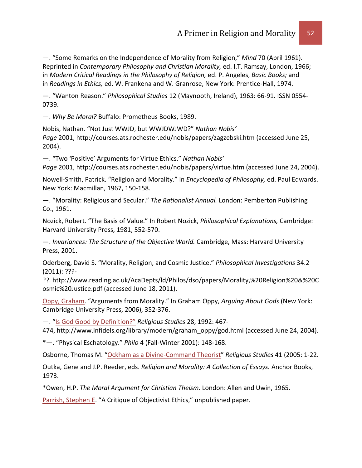—. "Some Remarks on the Independence of Morality from Religion," *Mind* 70 (April 1961). Reprinted in *Contemporary Philosophy and Christian Morality,* ed. I.T. Ramsay, London, 1966; in *Modern Critical Readings in the Philosophy of Religion,* ed. P. Angeles, *Basic Books;* and in *Readings in Ethics,* ed. W. Frankena and W. Granrose, New York: Prentice-Hall, 1974.

—. "Wanton Reason." *Philosophical Studies* 12 (Maynooth, Ireland), 1963: 66-91. ISSN 0554- 0739.

—. *Why Be Moral?* Buffalo: Prometheus Books, 1989.

Nobis, Nathan. "Not Just WWJD, but WWJDWJWD?" *Nathan Nobis' Page* 2001, http://courses.ats.rochester.edu/nobis/papers/zagzebski.htm (accessed June 25, 2004).

—. "Two 'Positive' Arguments for Virtue Ethics." *Nathan Nobis' Page* 2001, http://courses.ats.rochester.edu/nobis/papers/virtue.htm (accessed June 24, 2004).

Nowell-Smith, Patrick. "Religion and Morality." In *Encyclopedia of Philosophy,* ed. Paul Edwards. New York: Macmillan, 1967, 150-158.

—. "Morality: Religious and Secular." *The Rationalist Annual.* London: Pemberton Publishing Co., 1961.

Nozick, Robert. "The Basis of Value." In Robert Nozick, *Philosophical Explanations,* Cambridge: Harvard University Press, 1981, 552-570.

—. *Invariances: The Structure of the Objective World.* Cambridge, Mass: Harvard University Press, 2001.

Oderberg, David S. "Morality, Religion, and Cosmic Justice." *Philosophical Investigations* 34.2 (2011): ???-

??. http://www.reading.ac.uk/AcaDepts/ld/Philos/dso/papers/Morality,%20Religion%20&%20C osmic%20Justice.pdf (accessed June 18, 2011).

[Oppy, Graham.](http://www.infidels.org/library/modern/graham_oppy/) "Arguments from Morality." In Graham Oppy, *Arguing About Gods* (New York: Cambridge University Press, 2006), 352-376.

—. ["Is God Good by Definition?"](http://www.infidels.org/library/modern/graham_oppy/god.html) *Religious Studies* 28, 1992: 467-

474, http://www.infidels.org/library/modern/graham\_oppy/god.html (accessed June 24, 2004).

\*—. "Physical Eschatology." *Philo* 4 (Fall-Winter 2001): 148-168.

Osborne, Thomas M. ["Ockham as a Divine-Command Theorist"](http://www.jstor.org/stable/20008568) *Religious Studies* 41 (2005: 1-22.

Outka, Gene and J.P. Reeder, eds. *Religion and Morality: A Collection of Essays.* Anchor Books, 1973.

\*Owen, H.P. *The Moral Argument for Christian Theism.* London: Allen and Uwin, 1965.

[Parrish, Stephen E.](http://www.infidels.org/library/modern/stephen_parrish/) "A Critique of Objectivist Ethics," unpublished paper.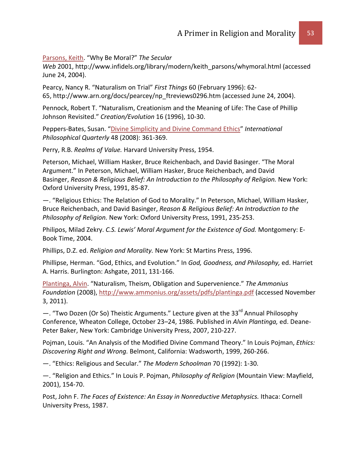[Parsons, Keith.](http://www.infidels.org/library/modern/keith_parsons/) "Why Be Moral?" *The Secular* 

Web 2001, http://www.infidels.org/library/modern/keith\_parsons/whymoral.html (accessed June 24, 2004).

Pearcy, Nancy R. "Naturalism on Trial" *First Things* 60 (February 1996): 62- 65, http://www.arn.org/docs/pearcey/np\_ftreviews0296.htm (accessed June 24, 2004).

Pennock, Robert T. "Naturalism, Creationism and the Meaning of Life: The Case of Phillip Johnson Revisited." *Creation/Evolution* 16 (1996), 10-30.

Peppers-Bates, Susan. ["Divine Simplicity and Divine Command Ethics"](http://www.pdcnet.org/collection/show?id=ipq_2008_0048_0003_0361_0369&file_type=pdf) *International Philosophical Quarterly* 48 (2008): 361-369.

Perry, R.B. *Realms of Value.* Harvard University Press, 1954.

Peterson, Michael, William Hasker, Bruce Reichenbach, and David Basinger. "The Moral Argument." In Peterson, Michael, William Hasker, Bruce Reichenbach, and David Basinger, *Reason & Religious Belief: An Introduction to the Philosophy of Religion.* New York: Oxford University Press, 1991, 85-87.

—. "Religious Ethics: The Relation of God to Morality." In Peterson, Michael, William Hasker, Bruce Reichenbach, and David Basinger, *Reason & Religious Belief: An Introduction to the Philosophy of Religion.* New York: Oxford University Press, 1991, 235-253.

Philipos, Milad Zekry. *C.S. Lewis' Moral Argument for the Existence of God.* Montgomery: E-Book Time, 2004.

Phillips, D.Z. ed. *Religion and Morality.* New York: St Martins Press, 1996.

Phillipse, Herman. "God, Ethics, and Evolution." In *God, Goodness, and Philosophy,* ed. Harriet A. Harris. Burlington: Ashgate, 2011, 131-166.

[Plantinga, Alvin.](http://www.infidels.org/library/modern/alvin_plantinga/) "Naturalism, Theism, Obligation and Supervenience." *The Ammonius Foundation* (2008), <http://www.ammonius.org/assets/pdfs/plantinga.pdf> (accessed November 3, 2011).

- . "Two Dozen (Or So) Theistic Arguments." Lecture given at the 33<sup>rd</sup> Annual Philosophy Conference, Wheaton College, October 23–24, 1986. Published in *Alvin Plantinga,* ed. Deane-Peter Baker, New York: Cambridge University Press, 2007, 210-227.

Pojman, Louis. "An Analysis of the Modified Divine Command Theory." In Louis Pojman, *Ethics: Discovering Right and Wrong.* Belmont, California: Wadsworth, 1999, 260-266.

—. "Ethics: Religious and Secular." *The Modern Schoolman* 70 (1992): 1-30.

—. "Religion and Ethics." In Louis P. Pojman, *Philosophy of Religion* (Mountain View: Mayfield, 2001), 154-70.

Post, John F. *The Faces of Existence: An Essay in Nonreductive Metaphysics.* Ithaca: Cornell University Press, 1987.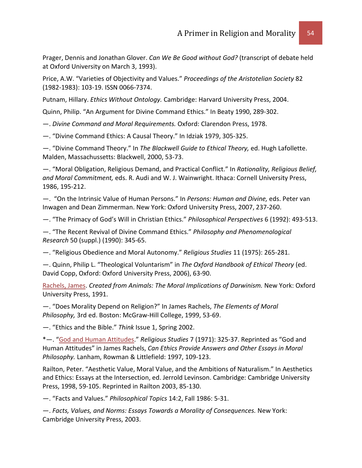Prager, Dennis and Jonathan Glover. *Can We Be Good without God?* (transcript of debate held at Oxford University on March 3, 1993).

Price, A.W. "Varieties of Objectivity and Values." *Proceedings of the Aristotelian Society* 82 (1982-1983): 103-19. ISSN 0066-7374.

Putnam, Hillary. *Ethics Without Ontology.* Cambridge: Harvard University Press, 2004.

Quinn, Philip. "An Argument for Divine Command Ethics." In Beaty 1990, 289-302.

—. *Divine Command and Moral Requirements.* Oxford: Clarendon Press, 1978.

—. "Divine Command Ethics: A Causal Theory." In Idziak 1979, 305-325.

—. "Divine Command Theory." In *The Blackwell Guide to Ethical Theory,* ed. Hugh Lafollette. Malden, Massachussetts: Blackwell, 2000, 53-73.

—. "Moral Obligation, Religious Demand, and Practical Conflict." In *Rationality, Religious Belief, and Moral Commitment,* eds. R. Audi and W. J. Wainwright. Ithaca: Cornell University Press, 1986, 195-212.

—. "On the Intrinsic Value of Human Persons." In *Persons: Human and Divine,* eds. Peter van Inwagen and Dean Zimmerman. New York: Oxford University Press, 2007, 237-260.

—. "The Primacy of God's Will in Christian Ethics." *Philosophical Perspectives* 6 (1992): 493-513.

—. "The Recent Revival of Divine Command Ethics." *Philosophy and Phenomenological Research* 50 (suppl.) (1990): 345-65.

—. "Religious Obedience and Moral Autonomy." *Religious Studies* 11 (1975): 265-281.

—. Quinn, Philip L. "Theological Voluntarism" in *The Oxford Handbook of Ethical Theory* (ed. David Copp, Oxford: Oxford University Press, 2006), 63-90.

[Rachels, James.](http://www.infidels.org/library/modern/james_rachels/) *Created from Animals: The Moral Implications of Darwinism.* New York: Oxford University Press, 1991.

—. "Does Morality Depend on Religion?" In James Rachels, *The Elements of Moral Philosophy,* 3rd ed. Boston: McGraw-Hill College, 1999, 53-69.

—. "Ethics and the Bible." *Think* Issue 1, Spring 2002.

\*—. ["God and Human Attitudes.](http://www.infidels.org/library/modern/james_rachels/autonomy.html)" *Religious Studies* 7 (1971): 325-37. Reprinted as "God and Human Attitudes" in James Rachels, *Can Ethics Provide Answers and Other Essays in Moral Philosophy.* Lanham, Rowman & Littlefield: 1997, 109-123.

Railton, Peter. "Aesthetic Value, Moral Value, and the Ambitions of Naturalism." In Aesthetics and Ethics: Essays at the Intersection, ed. Jerrold Levinson. Cambridge: Cambridge University Press, 1998, 59-105. Reprinted in Railton 2003, 85-130.

—. "Facts and Values." *Philosophical Topics* 14:2, Fall 1986: 5-31.

—. *Facts, Values, and Norms: Essays Towards a Morality of Consequences.* New York: Cambridge University Press, 2003.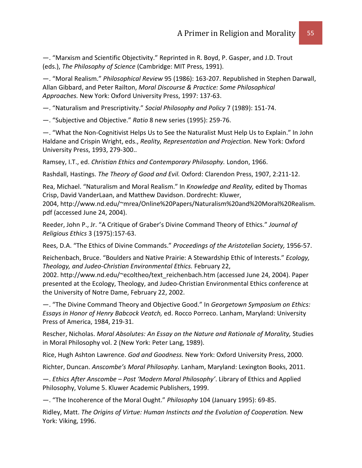—. "Marxism and Scientific Objectivity." Reprinted in R. Boyd, P. Gasper, and J.D. Trout (eds.), *The Philosophy of Science* (Cambridge: MIT Press, 1991).

—. "Moral Realism." *Philosophical Review* 95 (1986): 163-207. Republished in Stephen Darwall, Allan Gibbard, and Peter Railton, *Moral Discourse & Practice: Some Philosophical Approaches.* New York: Oxford University Press, 1997: 137-63.

—. "Naturalism and Prescriptivity." *Social Philosophy and Policy* 7 (1989): 151-74.

—. "Subjective and Objective." *Ratio* 8 new series (1995): 259-76.

—. "What the Non-Cognitivist Helps Us to See the Naturalist Must Help Us to Explain." In John Haldane and Crispin Wright, eds., *Reality, Representation and Projection.* New York: Oxford University Press, 1993, 279-300..

Ramsey, I.T., ed. *Christian Ethics and Contemporary Philosophy.* London, 1966.

Rashdall, Hastings. *The Theory of Good and Evil.* Oxford: Clarendon Press, 1907, 2:211-12.

Rea, Michael. "Naturalism and Moral Realism." In *Knowledge and Reality,* edited by Thomas Crisp, David VanderLaan, and Matthew Davidson. Dordrecht: Kluwer, 2004, http://www.nd.edu/~mrea/Online%20Papers/Naturalism%20and%20Moral%20Realism. pdf (accessed June 24, 2004).

Reeder, John P., Jr. "A Critique of Graber's Divine Command Theory of Ethics." *Journal of Religious Ethics* 3 (1975):157-63.

Rees, D.A. "The Ethics of Divine Commands." *Proceedings of the Aristotelian Society,* 1956-57.

Reichenbach, Bruce. "Boulders and Native Prairie: A Stewardship Ethic of Interests." *Ecology, Theology, and Judeo-Christian Environmental Ethics.* February 22,

2002. http://www.nd.edu/~ecoltheo/text\_reichenbach.htm (accessed June 24, 2004). Paper presented at the Ecology, Theology, and Judeo-Christian Environmental Ethics conference at the University of Notre Dame, February 22, 2002.

—. "The Divine Command Theory and Objective Good." In *Georgetown Symposium on Ethics: Essays in Honor of Henry Babcock Veatch,* ed. Rocco Porreco. Lanham, Maryland: University Press of America, 1984, 219-31.

Rescher, Nicholas. *Moral Absolutes: An Essay on the Nature and Rationale of Morality,* Studies in Moral Philosophy vol. 2 (New York: Peter Lang, 1989).

Rice, Hugh Ashton Lawrence. *God and Goodness.* New York: Oxford University Press, 2000.

Richter, Duncan. *Anscombe's Moral Philosophy.* Lanham, Maryland: Lexington Books, 2011.

—. *Ethics After Anscombe – Post 'Modern Moral Philosophy'*. Library of Ethics and Applied Philosophy, Volume 5. Kluwer Academic Publishers, 1999.

—. "The Incoherence of the Moral Ought." *Philosophy* 104 (January 1995): 69-85.

Ridley, Matt. *The Origins of Virtue: Human Instincts and the Evolution of Cooperation.* New York: Viking, 1996.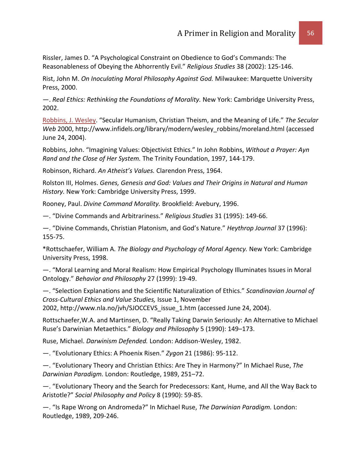Rissler, James D. "A Psychological Constraint on Obedience to God's Commands: The Reasonableness of Obeying the Abhorrently Evil." *Religious Studies* 38 (2002): 125-146.

Rist, John M. *On Inoculating Moral Philosophy Against God.* Milwaukee: Marquette University Press, 2000.

—. *Real Ethics: Rethinking the Foundations of Morality.* New York: Cambridge University Press, 2002.

[Robbins, J. Wesley.](http://www.infidels.org/library/modern/wesley_robbins/) "Secular Humanism, Christian Theism, and the Meaning of Life." *The Secular Web* 2000, http://www.infidels.org/library/modern/wesley\_robbins/moreland.html (accessed June 24, 2004).

Robbins, John. "Imagining Values: Objectivist Ethics." In John Robbins, *Without a Prayer: Ayn Rand and the Close of Her System.* The Trinity Foundation, 1997, 144-179.

Robinson, Richard. *An Atheist's Values.* Clarendon Press, 1964.

Rolston III, Holmes. *Genes, Genesis and God: Values and Their Origins in Natural and Human History.* New York: Cambridge University Press, 1999.

Rooney, Paul. *Divine Command Morality.* Brookfield: Avebury, 1996.

—. "Divine Commands and Arbitrariness." *Religious Studies* 31 (1995): 149-66.

—. "Divine Commands, Christian Platonism, and God's Nature." *Heythrop Journal* 37 (1996): 155-75.

\*Rottschaefer, William A. *The Biology and Psychology of Moral Agency.* New York: Cambridge University Press, 1998.

—. "Moral Learning and Moral Realism: How Empirical Psychology Illuminates Issues in Moral Ontology." *Behavior and Philosophy* 27 (1999): 19-49.

—. "Selection Explanations and the Scientific Naturalization of Ethics." *Scandinavian Journal of Cross-Cultural Ethics and Value Studies,* Issue 1, November

2002, http://www.nla.no/jvh/SJOCCEVS\_issue\_1.htm (accessed June 24, 2004).

Rottschaefer,W.A. and Martinsen, D. "Really Taking Darwin Seriously: An Alternative to Michael Ruse's Darwinian Metaethics." *Biology and Philosophy* 5 (1990): 149–173.

Ruse, Michael. *Darwinism Defended.* London: Addison-Wesley, 1982.

—. "Evolutionary Ethics: A Phoenix Risen." *Zygon* 21 (1986): 95-112.

—. "Evolutionary Theory and Christian Ethics: Are They in Harmony?" In Michael Ruse, *The Darwinian Paradigm.* London: Routledge, 1989, 251–72.

—. "Evolutionary Theory and the Search for Predecessors: Kant, Hume, and All the Way Back to Aristotle?" *Social Philosophy and Policy* 8 (1990): 59-85.

—. "Is Rape Wrong on Andromeda?" In Michael Ruse, *The Darwinian Paradigm.* London: Routledge, 1989, 209-246.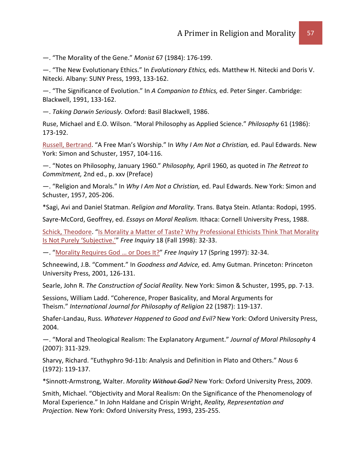—. "The Morality of the Gene." *Monist* 67 (1984): 176-199.

—. "The New Evolutionary Ethics." In *Evolutionary Ethics,* eds. Matthew H. Nitecki and Doris V. Nitecki. Albany: SUNY Press, 1993, 133-162.

—. "The Significance of Evolution." In *A Companion to Ethics,* ed. Peter Singer. Cambridge: Blackwell, 1991, 133-162.

—. *Taking Darwin Seriously.* Oxford: Basil Blackwell, 1986.

Ruse, Michael and E.O. Wilson. "Moral Philosophy as Applied Science." *Philosophy* 61 (1986): 173-192.

[Russell, Bertrand.](http://www.infidels.org/library/historical/bertrand_russell/) "A Free Man's Worship." In *Why I Am Not a Christian,* ed. Paul Edwards. New York: Simon and Schuster, 1957, 104-116.

—. "Notes on Philosophy, January 1960." *Philosophy,* April 1960, as quoted in *The Retreat to Commitment,* 2nd ed., p. xxv (Preface)

—. "Religion and Morals." In *Why I Am Not a Christian,* ed. Paul Edwards. New York: Simon and Schuster, 1957, 205-206.

\*Sagi, Avi and Daniel Statman. *Religion and Morality.* Trans. Batya Stein. Atlanta: Rodopi, 1995.

Sayre-McCord, Geoffrey, ed. *Essays on Moral Realism.* Ithaca: Cornell University Press, 1988.

[Schick, Theodore.](http://www.infidels.org/library/modern/theodore_schick/) ["Is Morality a Matter of Taste? Why Professional Ethicists Think That Morality](http://www.secularhumanism.org/library/fi/schick_18_4.html)  [Is Not Purely 'Subjective.'"](http://www.secularhumanism.org/library/fi/schick_18_4.html) *Free Inquiry* 18 (Fall 1998): 32-33.

—. ["Morality Requires God … or Does It?"](http://www.secularhumanism.org/index.php?section=library&page=schick_17_3) *Free Inquiry* 17 (Spring 1997): 32-34.

Schneewind, J.B. "Comment." In *Goodness and Advice,* ed. Amy Gutman. Princeton: Princeton University Press, 2001, 126-131.

Searle, John R. *The Construction of Social Reality.* New York: Simon & Schuster, 1995, pp. 7-13.

Sessions, William Ladd. "Coherence, Proper Basicality, and Moral Arguments for Theism." *International Journal for Philosophy of Religion* 22 (1987): 119-137.

Shafer-Landau, Russ. *Whatever Happened to Good and Evil?* New York: Oxford University Press, 2004.

—. "Moral and Theological Realism: The Explanatory Argument." *Journal of Moral Philosophy* 4 (2007): 311-329.

Sharvy, Richard. "Euthyphro 9d-11b: Analysis and Definition in Plato and Others." *Nous* 6 (1972): 119-137.

\*Sinnott-Armstrong, Walter. *Morality Without God?* New York: Oxford University Press, 2009.

Smith, Michael. "Objectivity and Moral Realism: On the Significance of the Phenomenology of Moral Experience." In John Haldane and Crispin Wright, *Reality, Representation and Projection.* New York: Oxford University Press, 1993, 235-255.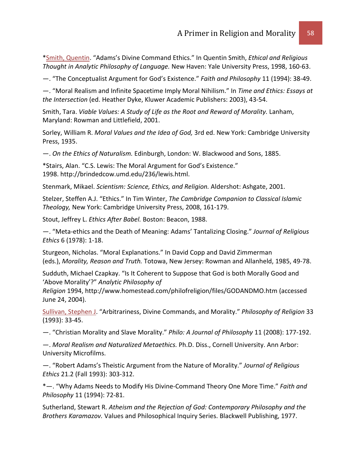[\\*Smith, Quentin.](http://www.infidels.org/library/modern/quentin_smith/) "Adams's Divine Command Ethics." In Quentin Smith, *Ethical and Religious Thought in Analytic Philosophy of Language.* New Haven: Yale University Press, 1998, 160-63.

—. "The Conceptualist Argument for God's Existence." *Faith and Philosophy* 11 (1994): 38-49.

—. "Moral Realism and Infinite Spacetime Imply Moral Nihilism." In *Time and Ethics: Essays at the Intersection* (ed. Heather Dyke, Kluwer Academic Publishers: 2003), 43-54.

Smith, Tara. *Viable Values: A Study of Life as the Root and Reward of Morality.* Lanham, Maryland: Rowman and Littlefield, 2001.

Sorley, William R. *Moral Values and the Idea of God,* 3rd ed. New York: Cambridge University Press, 1935.

—. *On the Ethics of Naturalism.* Edinburgh, London: W. Blackwood and Sons, 1885.

\*Stairs, Alan. "C.S. Lewis: The Moral Argument for God's Existence." 1998. http://brindedcow.umd.edu/236/lewis.html.

Stenmark, Mikael. *Scientism: Science, Ethics, and Religion.* Aldershot: Ashgate, 2001.

Stelzer, Steffen A.J. "Ethics." In Tim Winter, *The Cambridge Companion to Classical Islamic Theology,* New York: Cambridge University Press, 2008, 161-179.

Stout, Jeffrey L. *Ethics After Babel.* Boston: Beacon, 1988.

—. "Meta-ethics and the Death of Meaning: Adams' Tantalizing Closing." *Journal of Religious Ethics* 6 (1978): 1-18.

Sturgeon, Nicholas. "Moral Explanations." In David Copp and David Zimmerman (eds.), *Morality, Reason and Truth.* Totowa, New Jersey: Rowman and Allanheld, 1985, 49-78.

Sudduth, Michael Czapkay. "Is It Coherent to Suppose that God is both Morally Good and 'Above Morality'?" *Analytic Philosophy of* 

*Religion* 1994, http://www.homestead.com/philofreligion/files/GODANDMO.htm (accessed June 24, 2004).

[Sullivan, Stephen J.](http://www.infidels.org/library/modern/stephen_sullivan/) "Arbitrariness, Divine Commands, and Morality." *Philosophy of Religion* 33 (1993): 33-45.

—. "Christian Morality and Slave Morality." *Philo: A Journal of Philosophy* 11 (2008): 177-192.

—. *Moral Realism and Naturalized Metaethics.* Ph.D. Diss., Cornell University. Ann Arbor: University Microfilms.

—. "Robert Adams's Theistic Argument from the Nature of Morality." *Journal of Religious Ethics* 21.2 (Fall 1993): 303-312.

\*—. "Why Adams Needs to Modify His Divine-Command Theory One More Time." *Faith and Philosophy* 11 (1994): 72-81.

Sutherland, Stewart R. *Atheism and the Rejection of God: Contemporary Philosophy and the Brothers Karamazov.* Values and Philosophical Inquiry Series. Blackwell Publishing, 1977.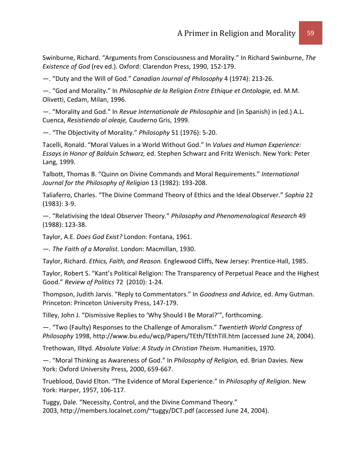Swinburne, Richard. "Arguments from Consciousness and Morality." In Richard Swinburne, *The Existence of God* (rev ed.). Oxford: Clarendon Press, 1990, 152-179.

—. "Duty and the Will of God." *Canadian Journal of Philosophy* 4 (1974): 213-26.

—. "God and Morality." In *Philosophie de la Religion Entre Ethique et Ontologie,* ed. M.M. Olivetti, Cedam, Milan, 1996.

—. "Morality and God." In *Revue Internationale de Philosophie* and (in Spanish) in (ed.) A.L. Cuenca, *Resistiendo al oleaje,* Cauderno Gris, 1999.

—. "The Objectivity of Morality." *Philosophy* 51 (1976): 5-20.

Tacelli, Ronald. "Moral Values in a World Without God." In *Values and Human Experience: Essays in Honor of Balduin Schwarz,* ed. Stephen Schwarz and Fritz Wenisch. New York: Peter Lang, 1999.

Talbott, Thomas B. "Quinn on Divine Commands and Moral Requirements." *International Journal for the Philosophy of Religion* 13 (1982): 193-208.

Taliaferro, Charles. "The Divine Command Theory of Ethics and the Ideal Observer." *Sophia* 22 (1983): 3-9.

—. "Relativising the Ideal Observer Theory." *Philosophy and Phenomenological Research* 49 (1988): 123-38.

Taylor, A.E. *Does God Exist?* London: Fontana, 1961.

*—. The Faith of a Moralist.* London: Macmillan, 1930.

Taylor, Richard. *Ethics, Faith, and Reason.* Englewood Cliffs, New Jersey: Prentice-Hall, 1985.

Taylor, Robert S. "Kant's Political Religion: The Transparency of Perpetual Peace and the Highest Good." *Review of Politics* 72 (2010): 1-24.

Thompson, Judith Jarvis. "Reply to Commentators." In *Goodness and Advice,* ed. Amy Gutman. Princeton: Princeton University Press, 147-179.

Tilley, John J. "Dismissive Replies to 'Why Should I Be Moral?'", forthcoming.

—. "Two (Faulty) Responses to the Challenge of Amoralism." *Twentieth World Congress of Philosophy* 1998, http://www.bu.edu/wcp/Papers/TEth/TEthTill.htm (accessed June 24, 2004).

Trethowan, Illtyd. *Absolute Value: A Study in Christian Theism*. Humanities, 1970.

—. "Moral Thinking as Awareness of God." In *Philosophy of Religion,* ed. Brian Davies. New York: Oxford University Press, 2000, 659-667.

Trueblood, David Elton. "The Evidence of Moral Experience." In *Philosophy of Religion.* New York: Harper, 1957, 106-117.

Tuggy, Dale. "Necessity, Control, and the Divine Command Theory." 2003, http://members.localnet.com/~tuggy/DCT.pdf (accessed June 24, 2004).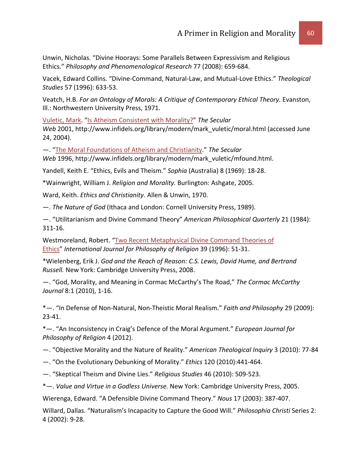Unwin, Nicholas. "Divine Hoorays: Some Parallels Between Expressivism and Religious Ethics." *Philosophy and Phenomenological Research* 77 (2008): 659-684.

Vacek, Edward Collins. "Divine-Command, Natural-Law, and Mutual-Love Ethics." *Theological Studies* 57 (1996): 633-53.

Veatch, H.B. *For an Ontology of Morals: A Critique of Contemporary Ethical Theory.* Evanston, Ill.: Northwestern University Press, 1971.

[Vuletic, Mark.](http://www.infidels.org/library/modern/mark_vuletic/) ["Is Atheism Consistent with Morality?"](http://www.infidels.org/library/modern/mark_vuletic/moral.html) *The Secular* 

*Web* 2001, http://www.infidels.org/library/modern/mark\_vuletic/moral.html (accessed June 24, 2004).

—. ["The Moral Foundations of Atheism and Christianity.](http://www.infidels.org/library/modern/mark_vuletic/mfound.html)" *The Secular* 

*Web* 1996, http://www.infidels.org/library/modern/mark\_vuletic/mfound.html.

Yandell, Keith E. "Ethics, Evils and Theism." *Sophia* (Australia) 8 (1969): 18-28.

\*Wainwright, William J. *Religion and Morality.* Burlington: Ashgate, 2005.

Ward, Keith. *Ethics and Christianity.* Allen & Unwin, 1970.

—. *The Nature of God* (Ithaca and London: Cornell University Press, 1989).

—. "Utilitarianism and Divine Command Theory" *American Philosophical Quarterly* 21 (1984): 311-16.

Westmoreland, Robert. ["Two Recent Metaphysical Divine Command Theories of](http://www.springerlink.com/content/pjg82231l74322q7/fulltext.pdf)  [Ethics"](http://www.springerlink.com/content/pjg82231l74322q7/fulltext.pdf) *International Journal for Philosophy of Religion* 39 (1996): 51-31.

\*Wielenberg, Erik J. *God and the Reach of Reason: C.S. Lewis, David Hume, and Bertrand Russell.* New York: Cambridge University Press, 2008.

—. "God, Morality, and Meaning in Cormac McCarthy's The Road," *The Cormac McCarthy Journal* 8:1 (2010), 1-16.

\*—. "In Defense of Non-Natural, Non-Theistic Moral Realism." *Faith and Philosophy* 29 (2009): 23-41.

\*—. "An Inconsistency in Craig's Defence of the Moral Argument." *European Journal for Philosophy of Religion* 4 (2012).

—. "Objective Morality and the Nature of Reality." *American Theological Inquiry* 3 (2010): 77-84

—. "On the Evolutionary Debunking of Morality." *Ethics* 120 (2010):441-464.

—. "Skeptical Theism and Divine Lies." *Religious Studies* 46 (2010): 509-523.

\*—. *Value and Virtue in a Godless Universe.* New York: Cambridge University Press, 2005.

Wierenga, Edward. "A Defensible Divine Command Theory." *Nous* 17 (2003): 387-407.

Willard, Dallas. "Naturalism's Incapacity to Capture the Good Will." *Philosophia Christi* Series 2: 4 (2002): 9-28.